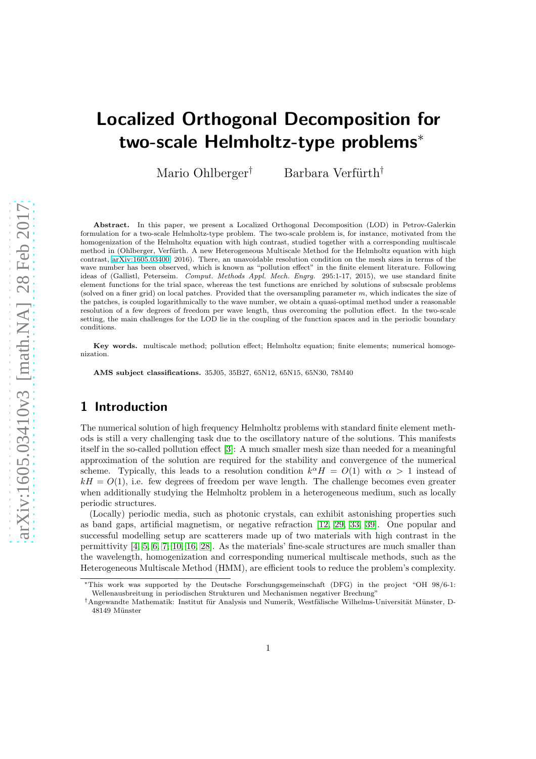# Localized Orthogonal Decomposition for two-scale Helmholtz-type problems<sup>∗</sup>

Mario Ohlberger<sup>†</sup> Barbara Verfürth<sup>†</sup>

Abstract. In this paper, we present a Localized Orthogonal Decomposition (LOD) in Petrov-Galerkin formulation for a two-scale Helmholtz-type problem. The two-scale problem is, for instance, motivated from the homogenization of the Helmholtz equation with high contrast, studied together with a corresponding multiscale method in (Ohlberger, Verfürth. A new Heterogeneous Multiscale Method for the Helmholtz equation with high contrast, [arXiv:1605.03400,](http://arxiv.org/abs/1605.03400) 2016). There, an unavoidable resolution condition on the mesh sizes in terms of the wave number has been observed, which is known as "pollution effect" in the finite element literature. Following ideas of (Gallistl, Peterseim. Comput. Methods Appl. Mech. Engrg. 295:1-17, 2015), we use standard finite element functions for the trial space, whereas the test functions are enriched by solutions of subscsale problems (solved on a finer grid) on local patches. Provided that the oversampling parameter  $m$ , which indicates the size of the patches, is coupled logarithmically to the wave number, we obtain a quasi-optimal method under a reasonable resolution of a few degrees of freedom per wave length, thus overcoming the pollution effect. In the two-scale setting, the main challenges for the LOD lie in the coupling of the function spaces and in the periodic boundary conditions.

Key words. multiscale method; pollution effect; Helmholtz equation; finite elements; numerical homogenization.

AMS subject classifications. 35J05, 35B27, 65N12, 65N15, 65N30, 78M40

# 1 Introduction

The numerical solution of high frequency Helmholtz problems with standard finite element methods is still a very challenging task due to the oscillatory nature of the solutions. This manifests itself in the so-called pollution effect [\[3\]](#page-16-0): A much smaller mesh size than needed for a meaningful approximation of the solution are required for the stability and convergence of the numerical scheme. Typically, this leads to a resolution condition  $k^{\alpha}H = O(1)$  with  $\alpha > 1$  instead of  $kH = O(1)$ , i.e. few degrees of freedom per wave length. The challenge becomes even greater when additionally studying the Helmholtz problem in a heterogeneous medium, such as locally periodic structures.

(Locally) periodic media, such as photonic crystals, can exhibit astonishing properties such as band gaps, artificial magnetism, or negative refraction [\[12,](#page-17-0) [29,](#page-18-0) [33,](#page-18-1) [39\]](#page-19-0). One popular and successful modelling setup are scatterers made up of two materials with high contrast in the permittivity [\[4,](#page-17-1) [5,](#page-17-2) [6,](#page-17-3) [7,](#page-17-4) [10,](#page-17-5) [16,](#page-17-6) [28\]](#page-18-2). As the materials' fine-scale structures are much smaller than the wavelength, homogenization and corresponding numerical multiscale methods, such as the Heterogeneous Multiscale Method (HMM), are efficient tools to reduce the problem's complexity.

<sup>∗</sup>This work was supported by the Deutsche Forschungsgemeinschaft (DFG) in the project "OH 98/6-1: Wellenausbreitung in periodischen Strukturen und Mechanismen negativer Brechung"

<sup>&</sup>lt;sup>†</sup>Angewandte Mathematik: Institut für Analysis und Numerik, Westfälische Wilhelms-Universität Münster, D-48149 Münster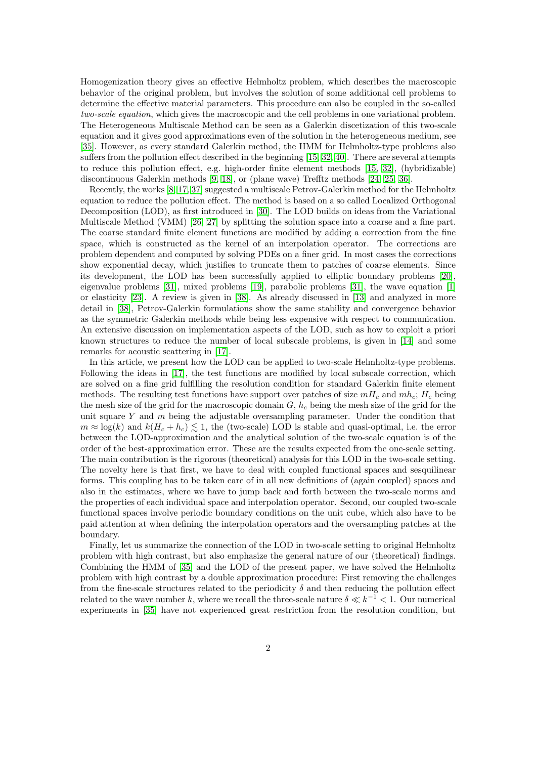Homogenization theory gives an effective Helmholtz problem, which describes the macroscopic behavior of the original problem, but involves the solution of some additional cell problems to determine the effective material parameters. This procedure can also be coupled in the so-called two-scale equation, which gives the macroscopic and the cell problems in one variational problem. The Heterogeneous Multiscale Method can be seen as a Galerkin discetization of this two-scale equation and it gives good approximations even of the solution in the heterogeneous medium, see [\[35\]](#page-18-3). However, as every standard Galerkin method, the HMM for Helmholtz-type problems also suffers from the pollution effect described in the beginning [\[15,](#page-17-7) [32,](#page-18-4) [40\]](#page-19-1). There are several attempts to reduce this pollution effect, e.g. high-order finite element methods [\[15,](#page-17-7) [32\]](#page-18-4), (hybridizable) discontinuous Galerkin methods [\[9,](#page-17-8) [18\]](#page-17-9), or (plane wave) Trefftz methods [\[24,](#page-18-5) [25,](#page-18-6) [36\]](#page-18-7).

Recently, the works [\[8,](#page-17-10) [17,](#page-17-11) [37\]](#page-18-8) suggested a multiscale Petrov-Galerkin method for the Helmholtz equation to reduce the pollution effect. The method is based on a so called Localized Orthogonal Decomposition (LOD), as first introduced in [\[30\]](#page-18-9). The LOD builds on ideas from the Variational Multiscale Method (VMM) [\[26,](#page-18-10) [27\]](#page-18-11) by splitting the solution space into a coarse and a fine part. The coarse standard finite element functions are modified by adding a correction from the fine space, which is constructed as the kernel of an interpolation operator. The corrections are problem dependent and computed by solving PDEs on a finer grid. In most cases the corrections show exponential decay, which justifies to truncate them to patches of coarse elements. Since its development, the LOD has been successfully applied to elliptic boundary problems [\[20\]](#page-17-12), eigenvalue problems [\[31\]](#page-18-12), mixed problems [\[19\]](#page-17-13), parabolic problems [\[31\]](#page-18-12), the wave equation [\[1\]](#page-16-1) or elasticity [\[23\]](#page-18-13). A review is given in [\[38\]](#page-19-2). As already discussed in [\[13\]](#page-17-14) and analyzed in more detail in [\[38\]](#page-19-2), Petrov-Galerkin formulations show the same stability and convergence behavior as the symmetric Galerkin methods while being less expensive with respect to communication. An extensive discussion on implementation aspects of the LOD, such as how to exploit a priori known structures to reduce the number of local subscale problems, is given in [\[14\]](#page-17-15) and some remarks for acoustic scattering in [\[17\]](#page-17-11).

In this article, we present how the LOD can be applied to two-scale Helmholtz-type problems. Following the ideas in [\[17\]](#page-17-11), the test functions are modified by local subscale correction, which are solved on a fine grid fulfilling the resolution condition for standard Galerkin finite element methods. The resulting test functions have support over patches of size  $mH_c$  and  $mh_c$ ;  $H_c$  being the mesh size of the grid for the macroscopic domain  $G$ ,  $h_c$  being the mesh size of the grid for the unit square  $Y$  and  $m$  being the adjustable oversampling parameter. Under the condition that  $m \approx \log(k)$  and  $k(H_c + h_c) \leq 1$ , the (two-scale) LOD is stable and quasi-optimal, i.e. the error between the LOD-approximation and the analytical solution of the two-scale equation is of the order of the best-approximation error. These are the results expected from the one-scale setting. The main contribution is the rigorous (theoretical) analysis for this LOD in the two-scale setting. The novelty here is that first, we have to deal with coupled functional spaces and sesquilinear forms. This coupling has to be taken care of in all new definitions of (again coupled) spaces and also in the estimates, where we have to jump back and forth between the two-scale norms and the properties of each individual space and interpolation operator. Second, our coupled two-scale functional spaces involve periodic boundary conditions on the unit cube, which also have to be paid attention at when defining the interpolation operators and the oversampling patches at the boundary.

Finally, let us summarize the connection of the LOD in two-scale setting to original Helmholtz problem with high contrast, but also emphasize the general nature of our (theoretical) findings. Combining the HMM of [\[35\]](#page-18-3) and the LOD of the present paper, we have solved the Helmholtz problem with high contrast by a double approximation procedure: First removing the challenges from the fine-scale structures related to the periodicity  $\delta$  and then reducing the pollution effect related to the wave number k, where we recall the three-scale nature  $\delta \ll k^{-1} < 1$ . Our numerical experiments in [\[35\]](#page-18-3) have not experienced great restriction from the resolution condition, but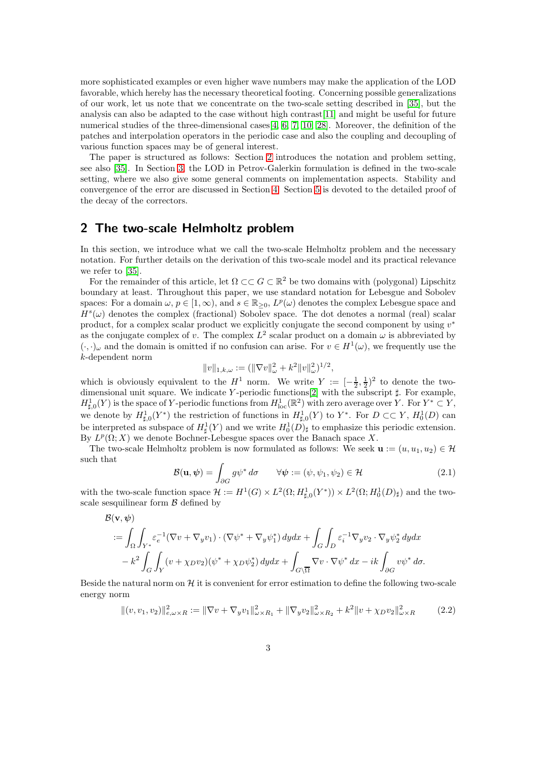more sophisticated examples or even higher wave numbers may make the application of the LOD favorable, which hereby has the necessary theoretical footing. Concerning possible generalizations of our work, let us note that we concentrate on the two-scale setting described in [\[35\]](#page-18-3), but the analysis can also be adapted to the case without high contrast[\[11\]](#page-17-16) and might be useful for future numerical studies of the three-dimensional cases  $[4, 6, 7, 10, 28]$  $[4, 6, 7, 10, 28]$  $[4, 6, 7, 10, 28]$  $[4, 6, 7, 10, 28]$  $[4, 6, 7, 10, 28]$ . Moreover, the definition of the patches and interpolation operators in the periodic case and also the coupling and decoupling of various function spaces may be of general interest.

The paper is structured as follows: Section [2](#page-2-0) introduces the notation and problem setting, see also [\[35\]](#page-18-3). In Section [3,](#page-4-0) the LOD in Petrov-Galerkin formulation is defined in the two-scale setting, where we also give some general comments on implementation aspects. Stability and convergence of the error are discussed in Section [4.](#page-8-0) Section [5](#page-12-0) is devoted to the detailed proof of the decay of the correctors.

## <span id="page-2-0"></span>2 The two-scale Helmholtz problem

In this section, we introduce what we call the two-scale Helmholtz problem and the necessary notation. For further details on the derivation of this two-scale model and its practical relevance we refer to [\[35\]](#page-18-3).

For the remainder of this article, let  $\Omega \subset \subset G \subset \mathbb{R}^2$  be two domains with (polygonal) Lipschitz boundary at least. Throughout this paper, we use standard notation for Lebesgue and Sobolev spaces: For a domain  $\omega, p \in [1, \infty)$ , and  $s \in \mathbb{R}_{\geq 0}$ ,  $L^p(\omega)$  denotes the complex Lebesgue space and  $H<sup>s</sup>(\omega)$  denotes the complex (fractional) Sobolev space. The dot denotes a normal (real) scalar product, for a complex scalar product we explicitly conjugate the second component by using  $v^*$ as the conjugate complex of v. The complex  $L^2$  scalar product on a domain  $\omega$  is abbreviated by  $(\cdot, \cdot)_{\omega}$  and the domain is omitted if no confusion can arise. For  $v \in H^1(\omega)$ , we frequently use the k-dependent norm

$$
||v||_{1,k,\omega} := (||\nabla v||_{\omega}^2 + k^2 ||v||_{\omega}^2)^{1/2},
$$

which is obviously equivalent to the  $H^1$  norm. We write  $Y := \left[-\frac{1}{2}, \frac{1}{2}\right)^2$  to denote the twodimensional unit square. We indicate Y -periodic functions[\[2\]](#page-16-2) with the subscript ♯. For example,  $H^1_{\sharp,0}(Y)$  is the space of Y-periodic functions from  $H^1_{\text{loc}}(\mathbb{R}^2)$  with zero average over Y. For  $Y^* \subset Y$ , we denote by  $H^1_{\sharp,0}(Y^*)$  the restriction of functions in  $H^1_{\sharp,0}(Y)$  to  $Y^*$ . For  $D \subset\subset Y$ ,  $H^1_0(D)$  can be interpreted as subspace of  $H^1_{\sharp}(Y)$  and we write  $H^1_0(D)_{\sharp}$  to emphasize this periodic extension. By  $L^p(\Omega; X)$  we denote Bochner-Lebesgue spaces over the Banach space X.

The two-scale Helmholtz problem is now formulated as follows: We seek  $\mathbf{u} := (u, u_1, u_2) \in \mathcal{H}$ such that

<span id="page-2-2"></span><span id="page-2-1"></span>
$$
\mathcal{B}(\mathbf{u}, \boldsymbol{\psi}) = \int_{\partial G} g \psi^* d\sigma \qquad \forall \boldsymbol{\psi} := (\psi, \psi_1, \psi_2) \in \mathcal{H}
$$
 (2.1)

with the two-scale function space  $\mathcal{H} := H^1(G) \times L^2(\Omega; H^1_{\sharp,0}(Y^*)) \times L^2(\Omega; H^1_0(D)_{\sharp})$  and the twoscale sesquilinear form  $\beta$  defined by

$$
\mathcal{B}(\mathbf{v},\psi) = \int_{\Omega} \int_{Y^*} \varepsilon_e^{-1} (\nabla v + \nabla_y v_1) \cdot (\nabla \psi^* + \nabla_y \psi_1^*) \, dy dx + \int_G \int_D \varepsilon_i^{-1} \nabla_y v_2 \cdot \nabla_y \psi_2^* \, dy dx \n- k^2 \int_G \int_Y (v + \chi_D v_2) (\psi^* + \chi_D \psi_2^*) \, dy dx + \int_{G \setminus \overline{\Omega}} \nabla v \cdot \nabla \psi^* \, dx - ik \int_{\partial G} v \psi^* \, d\sigma.
$$

Beside the natural norm on  $\mathcal H$  it is convenient for error estimation to define the following two-scale energy norm

$$
\|(v, v_1, v_2)\|_{e, \omega \times R}^2 := \|\nabla v + \nabla_y v_1\|_{\omega \times R_1}^2 + \|\nabla_y v_2\|_{\omega \times R_2}^2 + k^2 \|v + \chi_D v_2\|_{\omega \times R}^2 \tag{2.2}
$$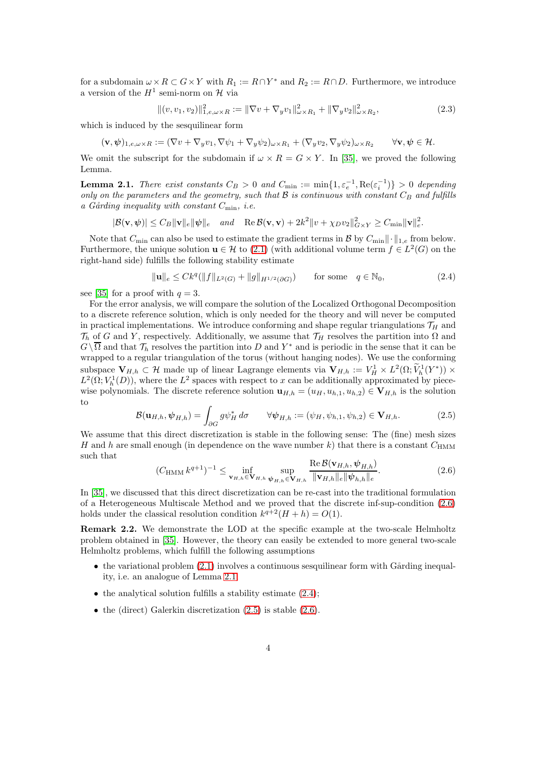for a subdomain  $\omega \times R \subset G \times Y$  with  $R_1 := R \cap Y^*$  and  $R_2 := R \cap D$ . Furthermore, we introduce a version of the  $H^1$  semi-norm on  $\mathcal H$  via

<span id="page-3-4"></span>
$$
\|(v, v_1, v_2)\|_{1, e, \omega \times R}^2 := \|\nabla v + \nabla_y v_1\|_{\omega \times R_1}^2 + \|\nabla_y v_2\|_{\omega \times R_2}^2,\tag{2.3}
$$

which is induced by the sesquilinear form

$$
(\mathbf{v},\psi)_{1,e,\omega\times R} := (\nabla v + \nabla_y v_1, \nabla \psi_1 + \nabla_y \psi_2)_{\omega\times R_1} + (\nabla_y v_2, \nabla_y \psi_2)_{\omega\times R_2} \qquad \forall \mathbf{v},\psi \in \mathcal{H}.
$$

We omit the subscript for the subdomain if  $\omega \times R = G \times Y$ . In [\[35\]](#page-18-3), we proved the following Lemma.

<span id="page-3-1"></span>**Lemma 2.1.** There exist constants  $C_B > 0$  and  $C_{\min} := \min\{1, \varepsilon_e^{-1}, \text{Re}(\varepsilon_i^{-1})\} > 0$  depending only on the parameters and the geometry, such that  $B$  is continuous with constant  $C_B$  and fulfills a Gårding inequality with constant  $C_{\min}$ , i.e.

$$
|\mathcal{B}(\mathbf{v},\boldsymbol{\psi})| \leq C_B \|\mathbf{v}\|_e \|\boldsymbol{\psi}\|_e \quad and \quad \text{Re}\,\mathcal{B}(\mathbf{v},\mathbf{v}) + 2k^2 \|v + \chi_D v_2\|_{G\times Y}^2 \geq C_{\min} \|\mathbf{v}\|_e^2.
$$

Note that  $C_{\min}$  can also be used to estimate the gradient terms in B by  $C_{\min} \|\cdot\|_{1,e}$  from below. Furthermore, the unique solution  $\mathbf{u} \in \mathcal{H}$  to [\(2.1\)](#page-2-1) (with additional volume term  $f \in L^2(G)$  on the right-hand side) fulfills the following stability estimate

<span id="page-3-2"></span>
$$
\|\mathbf{u}\|_{e} \leq C k^{q}(\|f\|_{L^{2}(G)} + \|g\|_{H^{1/2}(\partial G)}) \quad \text{for some} \quad q \in \mathbb{N}_{0},
$$
\n(2.4)

see [\[35\]](#page-18-3) for a proof with  $q = 3$ .

For the error analysis, we will compare the solution of the Localized Orthogonal Decomposition to a discrete reference solution, which is only needed for the theory and will never be computed in practical implementations. We introduce conforming and shape regular triangulations  $\mathcal{T}_H$  and  $\mathcal{T}_h$  of G and Y, respectively. Additionally, we assume that  $\mathcal{T}_H$  resolves the partition into  $\Omega$  and  $G\setminus\overline{\Omega}$  and that  $\mathcal{T}_h$  resolves the partition into D and Y<sup>\*</sup> and is periodic in the sense that it can be wrapped to a regular triangulation of the torus (without hanging nodes). We use the conforming subspace  $V_{H,h} \subset \mathcal{H}$  made up of linear Lagrange elements via  $V_{H,h} := V_H^1 \times L^2(\Omega; \tilde{V}_h^1(Y^*)) \times$  $L^2(\Omega; V_h^1(D))$ , where the  $L^2$  spaces with respect to x can be additionally approximated by piecewise polynomials. The discrete reference solution  $\mathbf{u}_{H,h} = (u_H, u_{h,1}, u_{h,2}) \in \mathbf{V}_{H,h}$  is the solution to

<span id="page-3-3"></span>
$$
\mathcal{B}(\mathbf{u}_{H,h}, \psi_{H,h}) = \int_{\partial G} g \psi_H^* d\sigma \qquad \forall \psi_{H,h} := (\psi_H, \psi_{h,1}, \psi_{h,2}) \in \mathbf{V}_{H,h}.
$$
 (2.5)

We assume that this direct discretization is stable in the following sense: The (fine) mesh sizes H and h are small enough (in dependence on the wave number k) that there is a constant  $C_{\text{HMM}}$ such that

<span id="page-3-0"></span>
$$
(C_{\text{HMM}} k^{q+1})^{-1} \leq \inf_{\mathbf{v}_{H,h} \in \mathbf{V}_{H,h}} \sup_{\psi_{H,h} \in \mathbf{V}_{H,h}} \frac{\text{Re}\,\mathcal{B}(\mathbf{v}_{H,h}, \psi_{H,h})}{\|\mathbf{v}_{H,h}\|_{e} \|\psi_{h,h}\|_{e}}.
$$
 (2.6)

In [\[35\]](#page-18-3), we discussed that this direct discretization can be re-cast into the traditional formulation of a Heterogeneous Multiscale Method and we proved that the discrete inf-sup-condition [\(2.6\)](#page-3-0) holds under the classical resolution condition  $k^{q+2}(H+h) = O(1)$ .

Remark 2.2. We demonstrate the LOD at the specific example at the two-scale Helmholtz problem obtained in [\[35\]](#page-18-3). However, the theory can easily be extended to more general two-scale Helmholtz problems, which fulfill the following assumptions

- $\bullet$  the variational problem  $(2.1)$  involves a continuous sesquilinear form with Gårding inequality, i.e. an analogue of Lemma [2.1;](#page-3-1)
- $\bullet$  the analytical solution fulfills a stability estimate  $(2.4)$ ;
- the (direct) Galerkin discretization  $(2.5)$  is stable  $(2.6)$ .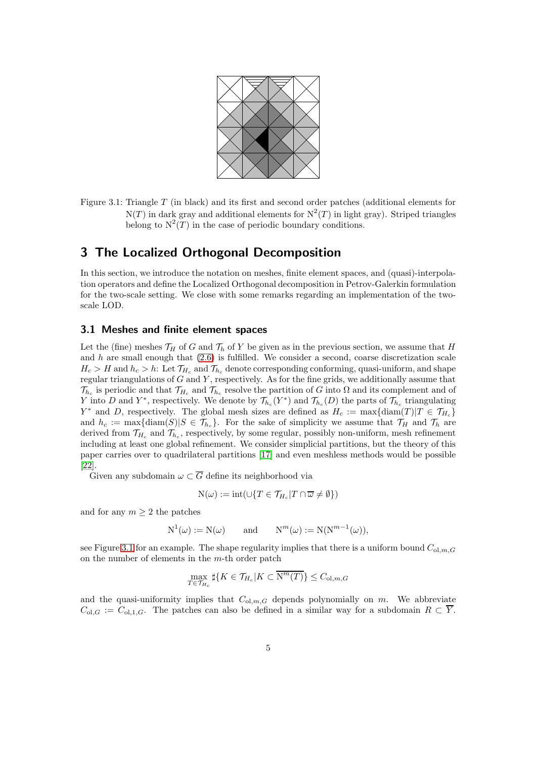

Figure 3.1: Triangle T (in black) and its first and second order patches (additional elements for  $N(T)$  in dark gray and additional elements for  $N^2(T)$  in light gray). Striped triangles belong to  $N^2(T)$  in the case of periodic boundary conditions.

# <span id="page-4-0"></span>3 The Localized Orthogonal Decomposition

In this section, we introduce the notation on meshes, finite element spaces, and (quasi)-interpolation operators and define the Localized Orthogonal decomposition in Petrov-Galerkin formulation for the two-scale setting. We close with some remarks regarding an implementation of the twoscale LOD.

## <span id="page-4-1"></span>3.1 Meshes and finite element spaces

Let the (fine) meshes  $\mathcal{T}_H$  of G and  $\mathcal{T}_h$  of Y be given as in the previous section, we assume that H and  $h$  are small enough that  $(2.6)$  is fulfilled. We consider a second, coarse discretization scale  $H_c > H$  and  $h_c > h$ : Let  $\mathcal{T}_{H_c}$  and  $\mathcal{T}_{h_c}$  denote corresponding conforming, quasi-uniform, and shape regular triangulations of  $G$  and  $Y$ , respectively. As for the fine grids, we additionally assume that  $\mathcal{T}_{h_c}$  is periodic and that  $\mathcal{T}_{H_c}$  and  $\mathcal{T}_{h_c}$  resolve the partition of G into  $\Omega$  and its complement and of Y into D and Y<sup>\*</sup>, respectively. We denote by  $\mathcal{T}_{h_c}(Y^*)$  and  $\mathcal{T}_{h_c}(D)$  the parts of  $\mathcal{T}_{h_c}$  triangulating  $Y^*$  and D, respectively. The global mesh sizes are defined as  $H_c := \max\{\text{diam}(T)|T \in \mathcal{T}_{H_c}\}\$ and  $h_c := \max\{\text{diam}(S)|S \in \mathcal{T}_{h_c}\}\$ . For the sake of simplicity we assume that  $\mathcal{T}_H$  and  $\mathcal{T}_h$  are derived from  $\mathcal{T}_{H_c}$  and  $\mathcal{T}_{h_c}$ , respectively, by some regular, possibly non-uniform, mesh refinement including at least one global refinement. We consider simplicial partitions, but the theory of this paper carries over to quadrilateral partitions [\[17\]](#page-17-11) and even meshless methods would be possible [\[22\]](#page-18-14).

Given any subdomain  $\omega \subset \overline{G}$  define its neighborhood via

$$
N(\omega) := \mathrm{int}(\cup \{ T \in \mathcal{T}_{H_c} | T \cap \overline{\omega} \neq \emptyset \})
$$

and for any  $m \geq 2$  the patches

$$
N^1(\omega) := N(\omega)
$$
 and  $N^m(\omega) := N(N^{m-1}(\omega)),$ 

see Figure [3.1](#page-4-1) for an example. The shape regularity implies that there is a uniform bound  $C_{\text{ol},m,G}$ on the number of elements in the  $m$ -th order patch

$$
\max_{T \in \mathcal{T}_{H_c}} \sharp \{ K \in \mathcal{T}_{H_c} | K \subset \overline{\mathrm{N}^m(T)} \} \leq C_{\mathrm{ol},m,G}
$$

and the quasi-uniformity implies that  $C_{ol,m,G}$  depends polynomially on m. We abbreviate  $C_{\text{ol},G} := C_{\text{ol},1,G}$ . The patches can also be defined in a similar way for a subdomain  $R \subset \overline{Y}$ .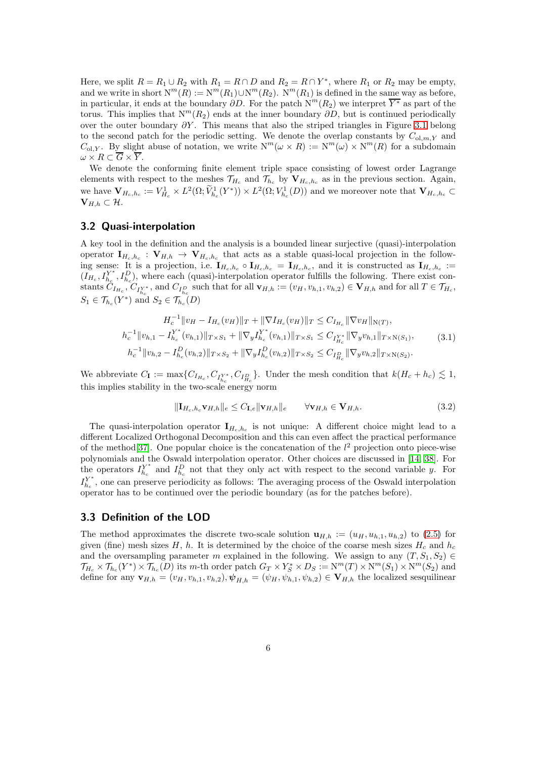Here, we split  $R = R_1 \cup R_2$  with  $R_1 = R \cap D$  and  $R_2 = R \cap Y^*$ , where  $R_1$  or  $R_2$  may be empty, and we write in short  $N^m(R) := N^m(R_1) \cup N^m(R_2)$ .  $N^m(R_1)$  is defined in the same way as before, in particular, it ends at the boundary  $\partial D$ . For the patch  $N^m(R_2)$  we interpret  $\overline{Y^*}$  as part of the torus. This implies that  $N^m(R_2)$  ends at the inner boundary  $\partial D$ , but is continued periodically over the outer boundary  $\partial Y$ . This means that also the striped triangles in Figure [3.1](#page-4-1) belong to the second patch for the periodic setting. We denote the overlap constants by  $C_{\text{ol,m},Y}$  and  $C_{\text{ol},Y}$ . By slight abuse of notation, we write  $N^m(\omega \times R) := N^m(\omega) \times N^m(R)$  for a subdomain  $\omega \times R \subset \overline{G} \times \overline{Y}$ .

We denote the conforming finite element triple space consisting of lowest order Lagrange elements with respect to the meshes  $\mathcal{T}_{H_c}$  and  $\mathcal{T}_{h_c}$  by  $\mathbf{V}_{H_c,h_c}$  as in the previous section. Again, we have  $\mathbf{V}_{H_c,h_c} := V_{H_c}^1 \times L^2(\Omega; \tilde{V}_{h_c}^1(Y^*)) \times L^2(\Omega; V_{h_c}^1(D))$  and we moreover note that  $\mathbf{V}_{H_c,h_c} \subset$  $V_{H,h} \subset \mathcal{H}.$ 

## 3.2 Quasi-interpolation

A key tool in the definition and the analysis is a bounded linear surjective (quasi)-interpolation operator  $I_{H_c,h_c}: V_{H,h} \to V_{H_c,h_c}$  that acts as a stable quasi-local projection in the following sense: It is a projection, i.e.  $I_{H_c,h_c} \circ I_{H_c,h_c} = I_{H_c,h_c}$ , and it is constructed as  $I_{H_c,h_c} :=$  $(\stackrel{\circ}{I_{H_c}},\stackrel{\circ}{I_{h_c}}^Y)$  $\{Y^*_{h_c}, I^D_{h_c}\}$ , where each (quasi)-interpolation operator fulfills the following. There exist constants  $C_{I_{H_c}}, C_{I_{h_c}^{\gamma*}}$ , and  $C_{I_{h_c}^D}$  such that for all  $\mathbf{v}_{H,h} := (v_H, v_{h,1}, v_{h,2}) \in \mathbf{V}_{H,h}$  and for all  $T \in \mathcal{T}_{H_c}$ ,  $S_1 \in \mathcal{T}_{h_c}(Y^*)$  and  $S_2 \in \mathcal{T}_{h_c}(D)$ 

$$
H_c^{-1} \|v_H - I_{H_c}(v_H)\|_T + \|\nabla I_{H_c}(v_H)\|_T \leq C_{I_{H_c}} \|\nabla v_H\|_{N(T)},
$$
  
\n
$$
h_c^{-1} \|v_{h,1} - I_{h_c}^{Y^*}(v_{h,1})\|_{T \times S_1} + \|\nabla_y I_{h_c}^{Y^*}(v_{h,1})\|_{T \times S_1} \leq C_{I_{H_c}^{Y^*}} \|\nabla_y v_{h,1}\|_{T \times N(S_1)},
$$
  
\n
$$
h_c^{-1} \|v_{h,2} - I_{h_c}^D(v_{h,2})\|_{T \times S_2} + \|\nabla_y I_{h_c}^D(v_{h,2})\|_{T \times S_2} \leq C_{I_{H_c}^D} \|\nabla_y v_{h,2}\|_{T \times N(S_2)}.
$$
\n(3.1)

<span id="page-5-0"></span>We abbreviate  $C_{\mathbf{I}} := \max\{C_{I_{H_c}}, C_{I_{H_c}^{\mathbf{Y}^*}}, C_{I_{H_c}^D}\}\.$  Under the mesh condition that  $k(H_c + h_c) \lesssim 1$ , this implies stability in the two-scale energy norm

<span id="page-5-1"></span>
$$
\|\mathbf{I}_{H_c,h_c}\mathbf{v}_{H,h}\|_e \le C_{\mathbf{I},e} \|\mathbf{v}_{H,h}\|_e \qquad \forall \mathbf{v}_{H,h} \in \mathbf{V}_{H,h}.\tag{3.2}
$$

The quasi-interpolation operator  $I_{H_c,h_c}$  is not unique: A different choice might lead to a different Localized Orthogonal Decomposition and this can even affect the practical performance of the method [\[37\]](#page-18-8). One popular choice is the concatenation of the  $l^2$  projection onto piece-wise polynomials and the Oswald interpolation operator. Other choices are discussed in [\[14,](#page-17-15) [38\]](#page-19-2). For the operators  $I_{h_{\alpha}}^{Y^*}$  $h_c^{Y^*}$  and  $I_{h_c}^D$  not that they only act with respect to the second variable y. For  $I_{h_c}^{Y^*}$  $h_c^{\gamma^*}$ , one can preserve periodicity as follows: The averaging process of the Oswald interpolation operator has to be continued over the periodic boundary (as for the patches before).

### 3.3 Definition of the LOD

The method approximates the discrete two-scale solution  $\mathbf{u}_{H,h} := (u_H, u_{h,1}, u_{h,2})$  to [\(2.5\)](#page-3-3) for given (fine) mesh sizes H, h. It is determined by the choice of the coarse mesh sizes  $H_c$  and  $h_c$ and the oversampling parameter m explained in the following. We assign to any  $(T, S_1, S_2) \in$  $\mathcal{T}_{H_c}\times \mathcal{T}_{h_c}(Y^*)\times \mathcal{T}_{h_c}(D)$  its m-th order patch  $G_T\times Y^*_S\times D_S:=\mathrm{N}^m(T)\times \mathrm{N}^m(S_1)\times \mathrm{N}^m(S_2)$  and define for any  $\mathbf{v}_{H,h} = (v_H, v_{h,1}, v_{h,2}), \psi_{H,h} = (\psi_H, \psi_{h,1}, \psi_{h,2}) \in \mathbf{V}_{H,h}$  the localized sesquilinear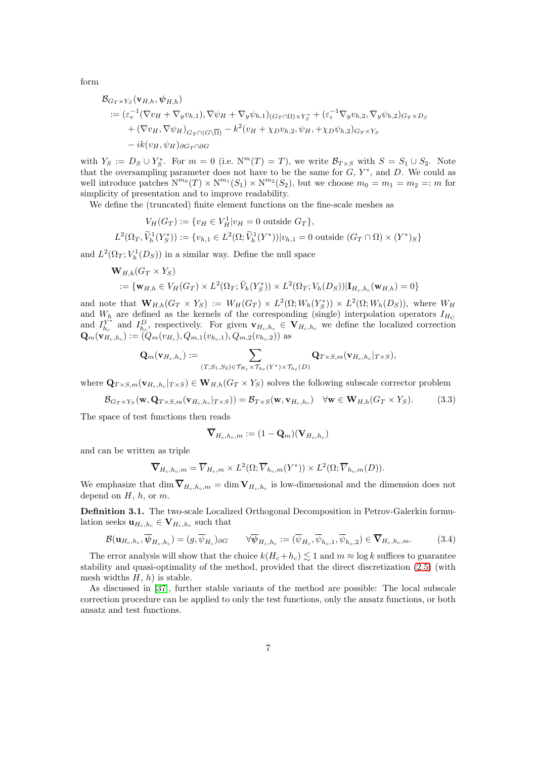form

$$
\mathcal{B}_{G_T \times Y_S}(\mathbf{v}_{H,h}, \psi_{H,h})
$$
\n
$$
:= (\varepsilon_e^{-1}(\nabla v_H + \nabla_y v_{h,1}), \nabla \psi_H + \nabla_y \psi_{h,1})_{(G_T \cap \Omega) \times Y_S^*} + (\varepsilon_i^{-1} \nabla_y v_{h,2}, \nabla_y \psi_{h,2})_{G_T \times D_S}
$$
\n
$$
+ (\nabla v_H, \nabla \psi_H)_{G_T \cap (G \setminus \overline{\Omega})} - k^2 (v_H + \chi_D v_{h,2}, \psi_H, + \chi_D \psi_{h,2})_{G_T \times Y_S}
$$
\n
$$
- ik(v_H, \psi_H)_{\partial G_T \cap \partial G}
$$

with  $Y_S := D_S \cup Y_S^*$ . For  $m = 0$  (i.e.  $N^m(T) = T$ ), we write  $\mathcal{B}_{T \times S}$  with  $S = S_1 \cup S_2$ . Note that the oversampling parameter does not have to be the same for  $G, Y^*$ , and  $D$ . We could as well introduce patches  $N^{m_0}(T) \times N^{m_1}(S_1) \times N^{m_2}(S_2)$ , but we choose  $m_0 = m_1 = m_2 =: m$  for simplicity of presentation and to improve readability.

We define the (truncated) finite element functions on the fine-scale meshes as

$$
V_H(G_T) := \{v_H \in V_H^1 | v_H = 0 \text{ outside } G_T\},
$$
  

$$
L^2(\Omega_T, \widetilde{V}_h^1(Y_S^*)) := \{v_{h,1} \in L^2(\Omega; \widetilde{V}_h^1(Y^*)) | v_{h,1} = 0 \text{ outside } (G_T \cap \Omega) \times (Y^*)_S\}
$$

and  $L^2(\Omega_T; V_h^1(D_S))$  in a similar way. Define the null space

$$
\mathbf{W}_{H,h}(G_T \times Y_S)
$$
  
 := { $\mathbf{w}_{H,h} \in V_H(G_T) \times L^2(\Omega_T; \tilde{V}_h(Y_S^*)) \times L^2(\Omega_T; V_h(D_S)) | \mathbf{I}_{H_c,h_c}(\mathbf{w}_{H,h}) = 0$ }

and note that  $\mathbf{W}_{H,h}(G_T \times Y_S) := W_H(G_T) \times L^2(\Omega; W_h(Y_S^*)) \times L^2(\Omega; W_h(D_S)),$  where  $W_H$ and Hote that  $W_{H,h}(ST \nightharpoonup TS) := W_H(GT) \nightharpoonup L$  (st,  $W_h(K_S) \nightharpoonup L$  (st,  $W_h(S)$ ), where  $W_H$ <br>and  $W_h$  are defined as the kernels of the corresponding (single) interpolation operators  $I_{H_C}$ and  $I_{h_0}^{Y^*}$  $Y_{h_c}^*$  and  $I_{h_c}^D$ , respectively. For given  $\mathbf{v}_{H_c,h_c} \in \mathbf{V}_{H_c,h_c}$  we define the localized correction  $\mathbf{Q}_m(\mathbf{v}_{H_c,h_c}):=(Q_m(v_{H_c}),Q_{m,1}(v_{h_c,1}),Q_{m,2}(v_{h_c,2}))$  as

$$
\mathbf{Q}_m(\mathbf{v}_{H_c,h_c}):=\sum_{(T,S_1,S_2)\in\mathcal{T}_{H_c}\times\mathcal{T}_{h_c}(Y^*)\times\mathcal{T}_{h_c}(D)}\mathbf{Q}_{T\times S,m}(\mathbf{v}_{H_c,h_c}|_{T\times S}),
$$

where  $\mathbf{Q}_{T\times S,m}(\mathbf{v}_{H_c,h_c}|_{T\times S}) \in \mathbf{W}_{H,h}(G_T\times Y_S)$  solves the following subscale corrector problem

$$
\mathcal{B}_{G_T \times Y_S}(\mathbf{w}, \mathbf{Q}_{T \times S, m}(\mathbf{v}_{H_c, h_c} |_{T \times S})) = \mathcal{B}_{T \times S}(\mathbf{w}, \mathbf{v}_{H_c, h_c}) \quad \forall \mathbf{w} \in \mathbf{W}_{H, h}(G_T \times Y_S).
$$
(3.3)

The space of test functions then reads

<span id="page-6-0"></span>
$$
\overline{\mathbf{V}}_{H_c,h_c,m}:=(1-\mathbf{Q}_m)(\mathbf{V}_{H_c,h_c})
$$

and can be written as triple

$$
\overline{\mathbf{V}}_{H_c,h_c,m} = \overline{V}_{H_c,m} \times L^2(\Omega; \overline{V}_{h_c,m}(Y^*)) \times L^2(\Omega; \overline{V}_{h_c,m}(D)).
$$

We emphasize that  $\dim V_{H_c,h_c,m} = \dim V_{H_c,h_c}$  is low-dimensional and the dimension does not depend on  $H$ ,  $h$ , or  $m$ .

<span id="page-6-2"></span>Definition 3.1. The two-scale Localized Orthogonal Decomposition in Petrov-Galerkin formulation seeks  $\mathbf{u}_{H_c,h_c} \in \mathbf{V}_{H_c,h_c}$  such that

<span id="page-6-1"></span>
$$
\mathcal{B}(\mathbf{u}_{H_c,h_c}, \overline{\psi}_{H_c,h_c}) = (g, \overline{\psi}_{H_c})_{\partial G} \qquad \forall \overline{\psi}_{H_c,h_c} := (\overline{\psi}_{H_c}, \overline{\psi}_{h_c,1}, \overline{\psi}_{h_c,2}) \in \overline{\mathbf{V}}_{H_c,h_c,m}.
$$
(3.4)

The error analysis will show that the choice  $k(H_c + h_c) \lesssim 1$  and  $m \approx \log k$  suffices to guarantee stability and quasi-optimality of the method, provided that the direct discretization [\(2.5\)](#page-3-3) (with mesh widths  $H, h$ ) is stable.

As discussed in [\[37\]](#page-18-8), further stable variants of the method are possible: The local subscale correction procedure can be applied to only the test functions, only the ansatz functions, or both ansatz and test functions.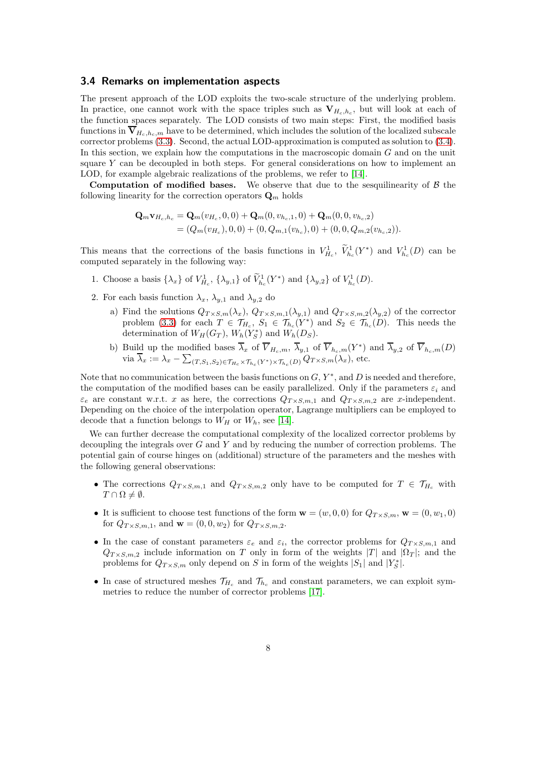#### 3.4 Remarks on implementation aspects

The present approach of the LOD exploits the two-scale structure of the underlying problem. In practice, one cannot work with the space triples such as  $V_{H_c,h_c}$ , but will look at each of the function spaces separately. The LOD consists of two main steps: First, the modified basis functions in  $V_{H_c,h_c,m}$  have to be determined, which includes the solution of the localized subscale corrector problems [\(3.3\)](#page-6-0). Second, the actual LOD-approximation is computed as solution to [\(3.4\)](#page-6-1). In this section, we explain how the computations in the macroscopic domain  $G$  and on the unit square  $Y$  can be decoupled in both steps. For general considerations on how to implement an LOD, for example algebraic realizations of the problems, we refer to [\[14\]](#page-17-15).

**Computation of modified bases.** We observe that due to the sesquilinearity of  $\beta$  the following linearity for the correction operators  $\mathbf{Q}_m$  holds

$$
\mathbf{Q}_m \mathbf{v}_{H_c,h_c} = \mathbf{Q}_m(v_{H_c},0,0) + \mathbf{Q}_m(0,v_{h_c,1},0) + \mathbf{Q}_m(0,0,v_{h_c,2})
$$
  
=  $(Q_m(v_{H_c}),0,0) + (0,Q_{m,1}(v_{h_c}),0) + (0,0,Q_{m,2}(v_{h_c,2})).$ 

This means that the corrections of the basis functions in  $V_{H_c}^1$ ,  $V_{H_c}^1(Y^*)$  and  $V_{h_c}^1(D)$  can be computed separately in the following way:

- 1. Choose a basis  $\{\lambda_x\}$  of  $V_{H_c}^1$ ,  $\{\lambda_{y,1}\}$  of  $\tilde{V}_{h_c}^1(Y^*)$  and  $\{\lambda_{y,2}\}$  of  $V_{h_c}^1(D)$ .
- 2. For each basis function  $\lambda_x$ ,  $\lambda_{y,1}$  and  $\lambda_{y,2}$  do
	- a) Find the solutions  $Q_{T\times S,m}(\lambda_x)$ ,  $Q_{T\times S,m,1}(\lambda_{y,1})$  and  $Q_{T\times S,m,2}(\lambda_{y,2})$  of the corrector problem [\(3.3\)](#page-6-0) for each  $T \in \mathcal{T}_{H_c}$ ,  $S_1 \in \mathcal{T}_{h_c}(Y^*)$  and  $S_2 \in \mathcal{T}_{h_c}(D)$ . This needs the determination of  $W_H(G_T)$ ,  $W_h(Y_S^*)$  and  $W_h(D_S)$ .
	- b) Build up the modified bases  $\overline{\lambda}_x$  of  $\overline{V}_{H_c,m}, \overline{\lambda}_{y,1}$  of  $\overline{V}_{h_c,m}(Y^*)$  and  $\overline{\lambda}_{y,2}$  of  $\overline{V}_{h_c,m}(D)$ via  $\overline{\lambda}_x := \lambda_x - \sum_{(T,S_1,S_2) \in \mathcal{T}_{H_c} \times \mathcal{T}_{h_c}(Y^*) \times \mathcal{T}_{h_c}(D)} Q_{T \times S,m}(\lambda_x)$ , etc.

Note that no communication between the basis functions on  $G, Y^*$ , and D is needed and therefore, the computation of the modified bases can be easily parallelized. Only if the parameters  $\varepsilon_i$  and  $\varepsilon_e$  are constant w.r.t. x as here, the corrections  $Q_{T \times S,m,1}$  and  $Q_{T \times S,m,2}$  are x-independent. Depending on the choice of the interpolation operator, Lagrange multipliers can be employed to decode that a function belongs to  $W_H$  or  $W_h$ , see [\[14\]](#page-17-15).

We can further decrease the computational complexity of the localized corrector problems by decoupling the integrals over G and Y and by reducing the number of correction problems. The potential gain of course hinges on (additional) structure of the parameters and the meshes with the following general observations:

- The corrections  $Q_{T\times S,m,1}$  and  $Q_{T\times S,m,2}$  only have to be computed for  $T \in \mathcal{T}_{H_c}$  with  $T \cap \Omega \neq \emptyset$ .
- It is sufficient to choose test functions of the form  $\mathbf{w} = (w, 0, 0)$  for  $Q_{T \times S,m}$ ,  $\mathbf{w} = (0, w_1, 0)$ for  $Q_{T\times S,m,1}$ , and  $\mathbf{w}=(0,0,w_2)$  for  $Q_{T\times S,m,2}$ .
- In the case of constant parameters  $\varepsilon_e$  and  $\varepsilon_i$ , the corrector problems for  $Q_{T\times S,m,1}$  and  $Q_{T \times S,m,2}$  include information on T only in form of the weights |T| and  $|\Omega_T|$ ; and the problems for  $Q_{T\times S,m}$  only depend on S in form of the weights  $|S_1|$  and  $|Y^*_S|$ .
- In case of structured meshes  $\mathcal{T}_{H_c}$  and  $\mathcal{T}_{h_c}$  and constant parameters, we can exploit symmetries to reduce the number of corrector problems [\[17\]](#page-17-11).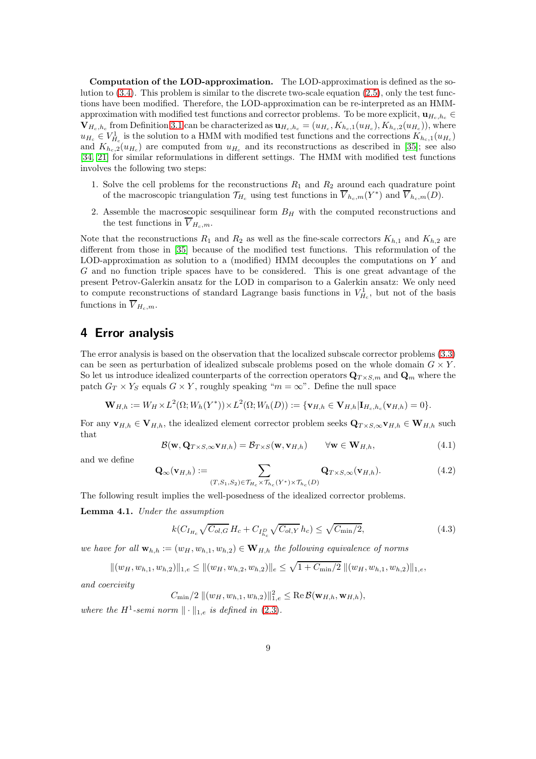Computation of the LOD-approximation. The LOD-approximation is defined as the solution to [\(3.4\)](#page-6-1). This problem is similar to the discrete two-scale equation [\(2.5\)](#page-3-3), only the test functions have been modified. Therefore, the LOD-approximation can be re-interpreted as an HMMapproximation with modified test functions and corrector problems. To be more explicit,  $\mathbf{u}_{H_h,h_h} \in$  $\mathbf{V}_{H_c,h_c}$  from Definition [3.1](#page-6-2) can be characterized as  $\mathbf{u}_{H_c,h_c} = (u_{H_c}, K_{h_c,1}(u_{H_c}), K_{h_c,2}(u_{H_c}))$ , where  $u_{H_c} \in V_{H_c}^1$  is the solution to a HMM with modified test functions and the corrections  $K_{h_c,1}(u_{H_c})$ and  $K_{h_c,2}(u_{H_c})$  are computed from  $u_{H_c}$  and its reconstructions as described in [\[35\]](#page-18-3); see also [\[34,](#page-18-15) [21\]](#page-18-16) for similar reformulations in different settings. The HMM with modified test functions involves the following two steps:

- 1. Solve the cell problems for the reconstructions  $R_1$  and  $R_2$  around each quadrature point of the macroscopic triangulation  $\mathcal{T}_{H_c}$  using test functions in  $\overline{V}_{h_c,m}(Y^*)$  and  $\overline{V}_{h_c,m}(D)$ .
- 2. Assemble the macroscopic sesquilinear form  $B_H$  with the computed reconstructions and the test functions in  $\overline{V}_{H_c,m}$ .

Note that the reconstructions  $R_1$  and  $R_2$  as well as the fine-scale correctors  $K_{h,1}$  and  $K_{h,2}$  are different from those in [\[35\]](#page-18-3) because of the modified test functions. This reformulation of the LOD-approximation as solution to a (modified) HMM decouples the computations on Y and G and no function triple spaces have to be considered. This is one great advantage of the present Petrov-Galerkin ansatz for the LOD in comparison to a Galerkin ansatz: We only need to compute reconstructions of standard Lagrange basis functions in  $V_{H_c}^1$ , but not of the basis functions in  $\overline{V}_{H_c,m}$ .

# <span id="page-8-0"></span>4 Error analysis

The error analysis is based on the observation that the localized subscale corrector problems [\(3.3\)](#page-6-0) can be seen as perturbation of idealized subscale problems posed on the whole domain  $G \times Y$ . So let us introduce idealized counterparts of the correction operators  $\mathbf{Q}_{T\times S,m}$  and  $\mathbf{Q}_m$  where the patch  $G_T \times Y_S$  equals  $G \times Y$ , roughly speaking " $m = \infty$ ". Define the null space

$$
\mathbf{W}_{H,h} := W_H \times L^2(\Omega; W_h(Y^*)) \times L^2(\Omega; W_h(D)) := \{ \mathbf{v}_{H,h} \in \mathbf{V}_{H,h} | \mathbf{I}_{H_c,h_c}(\mathbf{v}_{H,h}) = 0 \}.
$$

For any  $\mathbf{v}_{H,h} \in \mathbf{V}_{H,h}$ , the idealized element corrector problem seeks  $\mathbf{Q}_{T \times S, \infty} \mathbf{v}_{H,h} \in \mathbf{W}_{H,h}$  such that

<span id="page-8-3"></span>
$$
\mathcal{B}(\mathbf{w}, \mathbf{Q}_{T \times S, \infty} \mathbf{v}_{H,h}) = \mathcal{B}_{T \times S}(\mathbf{w}, \mathbf{v}_{H,h}) \qquad \forall \mathbf{w} \in \mathbf{W}_{H,h}, \tag{4.1}
$$

and we define

<span id="page-8-4"></span>
$$
\mathbf{Q}_{\infty}(\mathbf{v}_{H,h}) := \sum_{(T,S_1,S_2) \in \mathcal{T}_{H_c} \times \mathcal{T}_{h_c}(Y^*) \times \mathcal{T}_{h_c}(D)} \mathbf{Q}_{T \times S, \infty}(\mathbf{v}_{H,h}).
$$
\n(4.2)

The following result implies the well-posedness of the idealized corrector problems.

<span id="page-8-2"></span>Lemma 4.1. Under the assumption

<span id="page-8-1"></span>
$$
k(C_{I_{H_c}}\sqrt{C_{ol,G}}H_c + C_{I_{h_c}^D}\sqrt{C_{ol,Y}}h_c) \leq \sqrt{C_{\min}/2},
$$
\n(4.3)

we have for all  $\mathbf{w}_{h,h} := (w_H, w_{h,1}, w_{h,2}) \in \mathbf{W}_{H,h}$  the following equivalence of norms

 $||(w_H, w_{h,1}, w_{h,2})||_{1,e} \le ||(w_H, w_{h,2}, w_{h,2})||_e \le \sqrt{1 + C_{\min}/2} ||(w_H, w_{h,1}, w_{h,2})||_{1,e},$ and coercivity

 $C_{\min}/2 \, ||(w_H, w_{h,1}, w_{h,2})||_{1,e}^2 \leq \text{Re}\,\mathcal{B}(\mathbf{w}_{H,h}, \mathbf{w}_{H,h}),$ 

where the H<sup>1</sup>-semi norm  $\|\cdot\|_{1,e}$  is defined in [\(2.3\)](#page-3-4).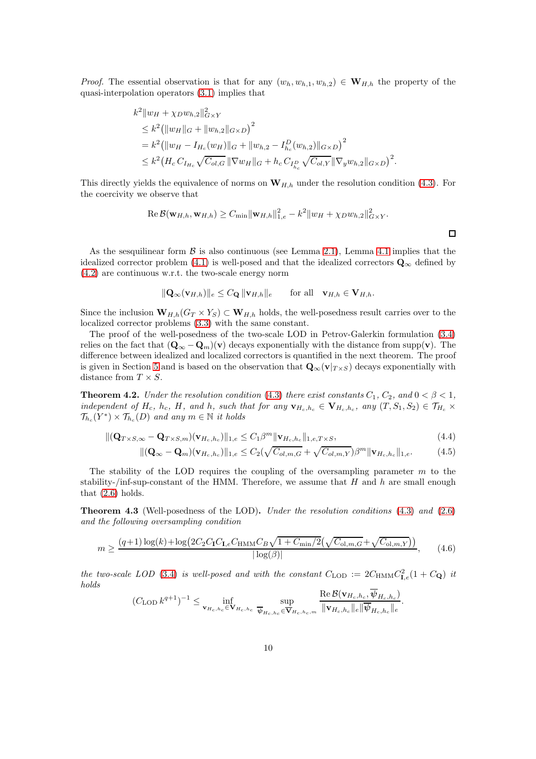*Proof.* The essential observation is that for any  $(w_h, w_{h,1}, w_{h,2}) \in W_{H,h}$  the property of the quasi-interpolation operators [\(3.1\)](#page-5-0) implies that

$$
k^{2} \|w_{H} + \chi_{D} w_{h,2}\|_{G\times Y}^{2}
$$
  
\n
$$
\leq k^{2} ( \|w_{H}\|_{G} + \|w_{h,2}\|_{G\times D} )^{2}
$$
  
\n
$$
= k^{2} ( \|w_{H} - I_{H_{c}}(w_{H})\|_{G} + \|w_{h,2} - I_{h_{c}}^{D}(w_{h,2})\|_{G\times D} )^{2}
$$
  
\n
$$
\leq k^{2} (H_{c} C_{I_{H_{c}}} \sqrt{C_{ol,G}} \| \nabla w_{H} \|_{G} + h_{c} C_{I_{h_{c}}} \sqrt{C_{ol,Y}} \| \nabla_{y} w_{h,2} \|_{G\times D} )^{2}.
$$

This directly yields the equivalence of norms on  $W_{H,h}$  under the resolution condition [\(4.3\)](#page-8-1). For the coercivity we observe that

Re 
$$
\mathcal{B}(\mathbf{w}_{H,h}, \mathbf{w}_{H,h}) \geq C_{\min} ||\mathbf{w}_{H,h}||_{1,e}^2 - k^2 ||w_H + \chi_D w_{h,2}||_{G \times Y}^2
$$
.

As the sesquilinear form  $\beta$  is also continuous (see Lemma [2.1\)](#page-3-1), Lemma [4.1](#page-8-2) implies that the idealized corrector problem [\(4.1\)](#page-8-3) is well-posed and that the idealized correctors  $\mathbf{Q}_{\infty}$  defined by [\(4.2\)](#page-8-4) are continuous w.r.t. the two-scale energy norm

$$
\|\mathbf{Q}_{\infty}(\mathbf{v}_{H,h})\|_{e} \leq C_{\mathbf{Q}} \|\mathbf{v}_{H,h}\|_{e} \quad \text{for all} \quad \mathbf{v}_{H,h} \in \mathbf{V}_{H,h}.
$$

Since the inclusion  $W_{H,h}(G_T \times Y_S) \subset W_{H,h}$  holds, the well-posedness result carries over to the localized corrector problems [\(3.3\)](#page-6-0) with the same constant.

The proof of the well-posedness of the two-scale LOD in Petrov-Galerkin formulation [\(3.4\)](#page-6-1) relies on the fact that  $(Q_{\infty} - Q_m)(v)$  decays exponentially with the distance from supp(v). The difference between idealized and localized correctors is quantified in the next theorem. The proof is given in Section [5](#page-12-0) and is based on the observation that  $\mathbf{Q}_{\infty}(\mathbf{v}|_{T\times S})$  decays exponentially with distance from  $T \times S$ .

<span id="page-9-1"></span>**Theorem 4.2.** Under the resolution condition [\(4.3\)](#page-8-1) there exist constants  $C_1$ ,  $C_2$ , and  $0 < \beta < 1$ , independent of  $H_c$ ,  $h_c$ ,  $H$ , and  $h$ , such that for any  $\mathbf{v}_{H_c,h_c} \in \mathbf{V}_{H_c,h_c}$ , any  $(T, S_1, S_2) \in \mathcal{T}_{H_c} \times$  $\mathcal{T}_{h_c}(Y^*) \times \mathcal{T}_{h_c}(D)$  and any  $m \in \mathbb{N}$  it holds

$$
\|(\mathbf{Q}_{T\times S,\infty} - \mathbf{Q}_{T\times S,m})(\mathbf{v}_{H_c,h_c})\|_{1,e} \le C_1\beta^m \|\mathbf{v}_{H_c,h_c}\|_{1,e,T\times S},\tag{4.4}
$$

<span id="page-9-4"></span><span id="page-9-3"></span>
$$
\|(\mathbf{Q}_{\infty}-\mathbf{Q}_m)(\mathbf{v}_{H_c,h_c})\|_{1,e} \leq C_2(\sqrt{C_{ol,m,G}} + \sqrt{C_{ol,m,Y}})\beta^m \|\mathbf{v}_{H_c,h_c}\|_{1,e}.
$$
 (4.5)

The stability of the LOD requires the coupling of the oversampling parameter  $m$  to the stability-/inf-sup-constant of the HMM. Therefore, we assume that  $H$  and  $h$  are small enough that  $(2.6)$  holds.

<span id="page-9-2"></span>Theorem 4.3 (Well-posedness of the LOD). Under the resolution conditions [\(4.3\)](#page-8-1) and [\(2.6\)](#page-3-0) and the following oversampling condition

<span id="page-9-0"></span>
$$
m \ge \frac{(q+1)\log(k) + \log(2C_2C_1C_{\text{I},e}C_{\text{HMM}}C_B\sqrt{1 + C_{\text{min}}/2}(\sqrt{C_{\text{ol},m,G}} + \sqrt{C_{\text{ol},m,Y}}))}{|\log(\beta)|},\tag{4.6}
$$

the two-scale LOD [\(3.4\)](#page-6-1) is well-posed and with the constant  $C_{\text{LOD}} := 2C_{\text{HMM}}C_{I,e}^2(1+C_{\mathbf{Q}})$  it holds

$$
(C_{\text{LOD}} k^{q+1})^{-1} \leq \inf_{\mathbf{v}_{H_c,h_c} \in \mathbf{V}_{H_c,h_c}} \sup_{\overline{\boldsymbol{\psi}}_{H_c,h_c} \in \overline{\mathbf{V}}_{H_c,h_c,m}} \frac{\text{Re}\,\mathcal{B}(\mathbf{v}_{H_c,h_c},\boldsymbol{\psi}_{H_c,h_c})}{\|\mathbf{v}_{H_c,h_c}\|_e \|\overline{\boldsymbol{\psi}}_{H_c,h_c}\|_e}.
$$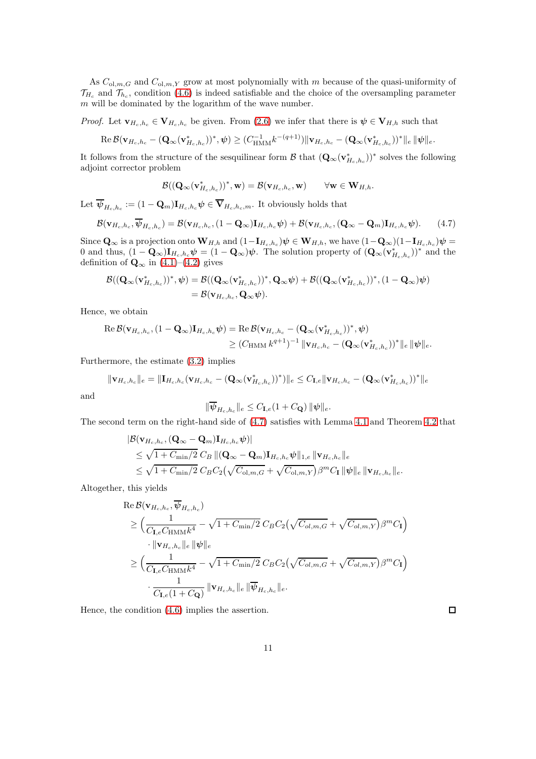As  $C_{\text{ol},m,G}$  and  $C_{\text{ol},m,Y}$  grow at most polynomially with m because of the quasi-uniformity of  $\mathcal{T}_{H_c}$  and  $\mathcal{T}_{h_c}$ , condition [\(4.6\)](#page-9-0) is indeed satisfiable and the choice of the oversampling parameter  $m$  will be dominated by the logarithm of the wave number.

*Proof.* Let  $\mathbf{v}_{H_c,h_c} \in \mathbf{V}_{H_c,h_c}$  be given. From [\(2.6\)](#page-3-0) we infer that there is  $\psi \in \mathbf{V}_{H,h}$  such that

$$
\operatorname{Re} \mathcal{B}(\mathbf{v}_{H_c,h_c}-(\mathbf{Q}_{\infty}(\mathbf{v}_{H_c,h_c}^*))^*,\psi) \geq (C_{\operatorname{HMM}}^{-1}k^{-(q+1)}) \|\mathbf{v}_{H_c,h_c}-(\mathbf{Q}_{\infty}(\mathbf{v}_{H_c,h_c}^*))^*\|_e \|\psi\|_e.
$$

It follows from the structure of the sesquilinear form  $\mathcal{B}$  that  $(\mathbf{Q}_{\infty}(\mathbf{v}_{H_c,h_c}^*))^*$  solves the following adjoint corrector problem

$$
\mathcal B((\mathbf Q_\infty(\mathbf v^*_{H_c,h_c}))^*,\mathbf w)=\mathcal B(\mathbf v_{H_c,h_c},\mathbf w)\qquad\forall\mathbf w\in\mathbf W_{H,h}.
$$

Let  $\psi_{H_c,h_c} := (1 - \mathbf{Q}_m) \mathbf{I}_{H_c,h_c} \psi \in \mathbf{V}_{H_c,h_c,m}$ . It obviously holds that

<span id="page-10-0"></span>
$$
\mathcal{B}(\mathbf{v}_{H_c,h_c},\overline{\boldsymbol{\psi}}_{H_c,h_c}) = \mathcal{B}(\mathbf{v}_{H_c,h_c},(1-\mathbf{Q}_{\infty})\mathbf{I}_{H_c,h_c}\boldsymbol{\psi}) + \mathcal{B}(\mathbf{v}_{H_c,h_c},(\mathbf{Q}_{\infty}-\mathbf{Q}_m)\mathbf{I}_{H_c,h_c}\boldsymbol{\psi}).
$$
 (4.7)

Since  $\mathbf{Q}_{\infty}$  is a projection onto  $\mathbf{W}_{H,h}$  and  $(1-\mathbf{I}_{H_c,h_c})\psi \in \mathbf{W}_{H,h}$ , we have  $(1-\mathbf{Q}_{\infty})(1-\mathbf{I}_{H_c,h_c})\psi =$ 0 and thus,  $(1 - \mathbf{Q}_{\infty})\mathbf{I}_{H_c,h_c}\boldsymbol{\psi} = (1 - \mathbf{Q}_{\infty})\boldsymbol{\psi}$ . The solution property of  $(\mathbf{Q}_{\infty}(\mathbf{v}_{H_c,h_c}^*))^*$  and the definition of  $\mathbf{Q}_{\infty}$  in [\(4.1\)](#page-8-3)–[\(4.2\)](#page-8-4) gives

$$
\begin{split} \mathcal{B}((\mathbf{Q}_\infty(\mathbf{v}^*_{H_c,h_c}))^*,\boldsymbol{\psi}) &= \mathcal{B}((\mathbf{Q}_\infty(\mathbf{v}^*_{H_c,h_c}))^*,\mathbf{Q}_\infty\boldsymbol{\psi}) + \mathcal{B}((\mathbf{Q}_\infty(\mathbf{v}^*_{H_c,h_c}))^*,(1-\mathbf{Q}_\infty)\boldsymbol{\psi}) \\ &= \mathcal{B}(\mathbf{v}_{H_c,h_c},\mathbf{Q}_\infty\boldsymbol{\psi}). \end{split}
$$

Hence, we obtain

$$
\operatorname{Re}\mathcal{B}(\mathbf{v}_{H_c,h_c},(1-\mathbf{Q}_{\infty})\mathbf{I}_{H_c,h_c}\boldsymbol{\psi}) = \operatorname{Re}\mathcal{B}(\mathbf{v}_{H_c,h_c} - (\mathbf{Q}_{\infty}(\mathbf{v}_{H_c,h_c}^*))^*,\boldsymbol{\psi})
$$
  

$$
\geq (C_{\operatorname{HMM}}k^{q+1})^{-1} \|\mathbf{v}_{H_c,h_c} - (\mathbf{Q}_{\infty}(\mathbf{v}_{H_c,h_c}^*))^*\|_e \|\boldsymbol{\psi}\|_e.
$$

Furthermore, the estimate [\(3.2\)](#page-5-1) implies

$$
\|\mathbf{v}_{H_c,h_c}\|_e = \|\mathbf{I}_{H_c,h_c}(\mathbf{v}_{H_c,h_c} - (\mathbf{Q}_{\infty}(\mathbf{v}_{H_c,h_c}^*))^*)\|_e \leq C_{\mathbf{I},e} \|\mathbf{v}_{H_c,h_c} - (\mathbf{Q}_{\infty}(\mathbf{v}_{H_c,h_c}^*))^*\|_e
$$

and

$$
\|\overline{\boldsymbol \psi}_{H_c,h_c}\|_e \leq C_{{\bf I},e}(1+C_{\bf Q})\, \|\boldsymbol \psi\|_e.
$$

The second term on the right-hand side of [\(4.7\)](#page-10-0) satisfies with Lemma [4.1](#page-8-2) and Theorem [4.2](#page-9-1) that

$$
|\mathcal{B}(\mathbf{v}_{H_c,h_c},(\mathbf{Q}_{\infty}-\mathbf{Q}_m)\mathbf{I}_{H_c,h_c}\psi)|
$$
  
\n
$$
\leq \sqrt{1+C_{\min}/2} \, C_B \, \|(\mathbf{Q}_{\infty}-\mathbf{Q}_m)\mathbf{I}_{H_c,h_c}\psi\|_{1,e} \, \|\mathbf{v}_{H_c,h_c}\|_e
$$
  
\n
$$
\leq \sqrt{1+C_{\min}/2} \, C_B C_2 \big(\sqrt{C_{\text{ol},m,G}} + \sqrt{C_{\text{ol},m,Y}}\big)\beta^m C_{\mathbf{I}} \, \|\psi\|_e \, \|\mathbf{v}_{H_c,h_c}\|_e.
$$

Altogether, this yields

$$
\begin{split} &\text{Re}\,\mathcal{B}(\mathbf{v}_{H_c,h_c},\overline{\psi}_{H_c,h_c})\\ &\geq \Big(\frac{1}{C_{\mathbf{I},e}C_{\text{HMM}}k^4}-\sqrt{1+C_{\text{min}}/2}\,C_B C_2\big(\sqrt{C_{ol,m,G}}+\sqrt{C_{ol,m,Y}}\big)\beta^m C_{\mathbf{I}}\big)\\ &\quad\cdot\|\mathbf{v}_{H_c,h_c}\|_e\,\|\psi\|_e\\ &\geq \Big(\frac{1}{C_{\mathbf{I},e}C_{\text{HMM}}k^4}-\sqrt{1+C_{\text{min}}/2}\,C_B C_2\big(\sqrt{C_{ol,m,G}}+\sqrt{C_{ol,m,Y}}\big)\beta^m C_{\mathbf{I}}\Big)\\ &\quad\cdot\frac{1}{C_{\mathbf{I},e}(1+C_{\mathbf{Q}})}\,\|\mathbf{v}_{H_c,h_c}\|_e\,\|\overline{\psi}_{H_c,h_c}\|_e. \end{split}
$$

Hence, the condition [\(4.6\)](#page-9-0) implies the assertion.

 $\Box$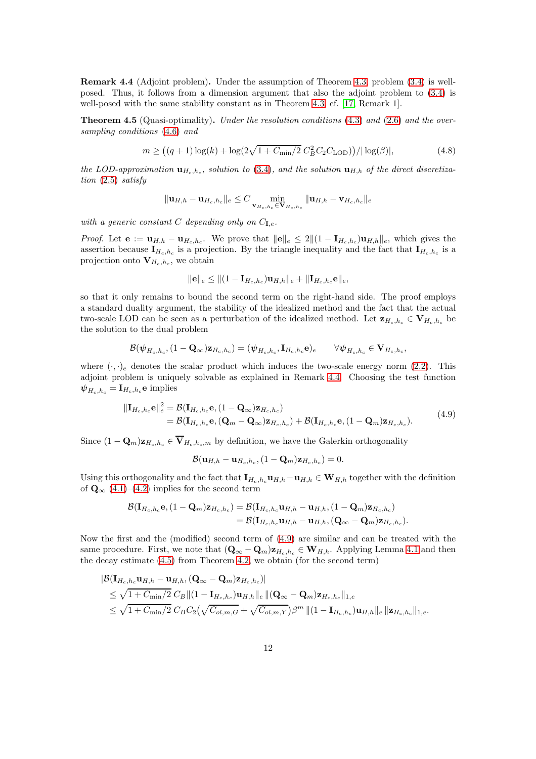<span id="page-11-0"></span>Remark 4.4 (Adjoint problem). Under the assumption of Theorem [4.3,](#page-9-2) problem [\(3.4\)](#page-6-1) is wellposed. Thus, it follows from a dimension argument that also the adjoint problem to [\(3.4\)](#page-6-1) is well-posed with the same stability constant as in Theorem [4.3,](#page-9-2) cf. [\[17,](#page-17-11) Remark 1].

<span id="page-11-3"></span>**Theorem 4.5** (Quasi-optimality). Under the resolution conditions  $(4.3)$  and  $(2.6)$  and the oversampling conditions [\(4.6\)](#page-9-0) and

<span id="page-11-2"></span>
$$
m \ge ((q+1)\log(k) + \log(2\sqrt{1 + C_{\min}/2} C_B^2 C_2 C_{\text{LOD}}))/|\log(\beta)|,
$$
\n(4.8)

the LOD-approximation  $\mathbf{u}_{H_c,h_c}$ , solution to [\(3.4\)](#page-6-1), and the solution  $\mathbf{u}_{H,h}$  of the direct discretization [\(2.5\)](#page-3-3) satisfy

$$
\|\mathbf{u}_{H,h} - \mathbf{u}_{H_c,h_c}\|_e \leq C \min_{\mathbf{v}_{H_c,h_c} \in \mathbf{V}_{H_c,h_c}} \|\mathbf{u}_{H,h} - \mathbf{v}_{H_c,h_c}\|_e
$$

with a generic constant C depending only on  $C_{I,e}$ .

*Proof.* Let  $e := \mathbf{u}_{H,h} - \mathbf{u}_{H_c,h_c}$ . We prove that  $||e||_e \leq 2||(1 - \mathbf{I}_{H_c,h_c})\mathbf{u}_{H,h}||_e$ , which gives the assertion because  $I_{H_c,h_c}$  is a projection. By the triangle inequality and the fact that  $I_{H_c,h_c}$  is a projection onto  $\mathbf{V}_{H_c,h_c}$ , we obtain

$$
\|\mathbf{e}\|_e \leq \| (1 - \mathbf{I}_{H_c, h_c}) \mathbf{u}_{H, h} \|_e + \| \mathbf{I}_{H_c, h_c} \mathbf{e} \|_e,
$$

so that it only remains to bound the second term on the right-hand side. The proof employs a standard duality argument, the stability of the idealized method and the fact that the actual two-scale LOD can be seen as a perturbation of the idealized method. Let  $\mathbf{z}_{H_c,h_c} \in \mathbf{V}_{H_c,h_c}$  be the solution to the dual problem

$$
\mathcal{B}(\boldsymbol{\psi}_{H_c,h_c},(1-\mathbf{Q}_\infty)\mathbf{z}_{H_c,h_c})=(\boldsymbol{\psi}_{H_c,h_c},\mathbf{I}_{H_c,h_c}\mathbf{e})_e\qquad\forall \boldsymbol{\psi}_{H_c,h_c}\in\mathbf{V}_{H_c,h_c},
$$

where  $(\cdot, \cdot)_e$  denotes the scalar product which induces the two-scale energy norm [\(2.2\)](#page-2-2). This adjoint problem is uniquely solvable as explained in Remark [4.4.](#page-11-0) Choosing the test function  $\psi_{H_c,h_c} = \mathbf{I}_{H_c,h_c} \mathbf{e}$  implies

$$
\begin{split} \|\mathbf{I}_{H_c,h_c}\mathbf{e}\|_e^2 &= \mathcal{B}(\mathbf{I}_{H_c,h_c}\mathbf{e}, (1-\mathbf{Q}_{\infty})\mathbf{z}_{H_c,h_c}) \\ &= \mathcal{B}(\mathbf{I}_{H_c,h_c}\mathbf{e}, (\mathbf{Q}_m - \mathbf{Q}_{\infty})\mathbf{z}_{H_c,h_c}) + \mathcal{B}(\mathbf{I}_{H_c,h_c}\mathbf{e}, (1-\mathbf{Q}_m)\mathbf{z}_{H_c,h_c}). \end{split} \tag{4.9}
$$

<span id="page-11-1"></span>Since  $(1 - \mathbf{Q}_m)\mathbf{z}_{H_c,h_c} \in \overline{\mathbf{V}}_{H_c,h_c,m}$  by definition, we have the Galerkin orthogonality

$$
\mathcal{B}(\mathbf{u}_{H,h}-\mathbf{u}_{H_c,h_c},(1-\mathbf{Q}_m)\mathbf{z}_{H_c,h_c})=0.
$$

Using this orthogonality and the fact that  $\mathbf{I}_{H_c,h_c} \mathbf{u}_{H,h} - \mathbf{u}_{H,h} \in \mathbf{W}_{H,h}$  together with the definition of  $\mathbf{Q}_{\infty}$  [\(4.1\)](#page-8-3)–[\(4.2\)](#page-8-4) implies for the second term

$$
\mathcal{B}(\mathbf{I}_{H_c,h_c}\mathbf{e},(1-\mathbf{Q}_m)\mathbf{z}_{H_c,h_c})=\mathcal{B}(\mathbf{I}_{H_c,h_c}\mathbf{u}_{H,h}-\mathbf{u}_{H,h},(1-\mathbf{Q}_m)\mathbf{z}_{H_c,h_c})\\ =\mathcal{B}(\mathbf{I}_{H_c,h_c}\mathbf{u}_{H,h}-\mathbf{u}_{H,h},(\mathbf{Q}_\infty-\mathbf{Q}_m)\mathbf{z}_{H_c,h_c}).
$$

Now the first and the (modified) second term of [\(4.9\)](#page-11-1) are similar and can be treated with the same procedure. First, we note that  $(Q_{\infty} - Q_m)z_{H_c,h_c} \in W_{H,h}$ . Applying Lemma [4.1](#page-8-2) and then the decay estimate [\(4.5\)](#page-9-3) from Theorem [4.2,](#page-9-1) we obtain (for the second term)

$$
|\mathcal{B}(\mathbf{I}_{H_c,h_c}\mathbf{u}_{H,h} - \mathbf{u}_{H,h},(\mathbf{Q}_{\infty} - \mathbf{Q}_m)\mathbf{z}_{H_c,h_c})|
$$
  
\n
$$
\leq \sqrt{1 + C_{\min}/2} C_B ||(1 - \mathbf{I}_{H_c,h_c})\mathbf{u}_{H,h}||_e ||(\mathbf{Q}_{\infty} - \mathbf{Q}_m)\mathbf{z}_{H_c,h_c}||_{1,e}
$$
  
\n
$$
\leq \sqrt{1 + C_{\min}/2} C_B C_2 (\sqrt{C_{ol,m,G}} + \sqrt{C_{ol,m,Y}}) \beta^m ||(1 - \mathbf{I}_{H_c,h_c})\mathbf{u}_{H,h}||_e ||\mathbf{z}_{H_c,h_c}||_{1,e}.
$$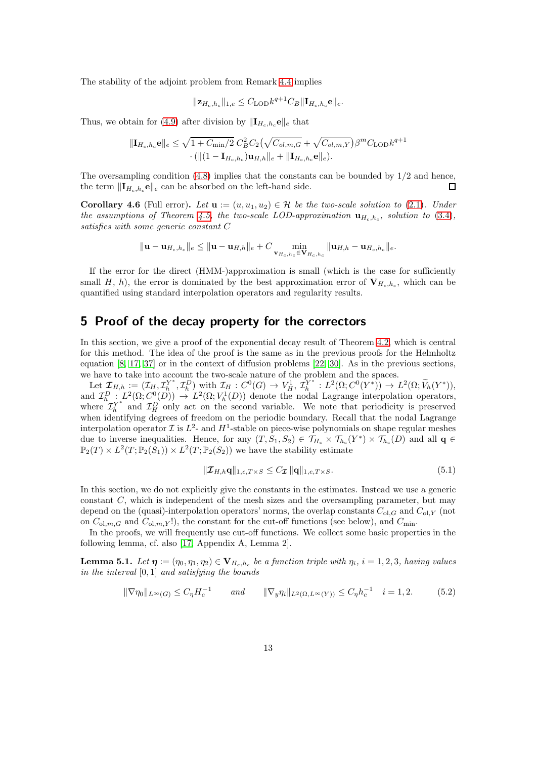The stability of the adjoint problem from Remark [4.4](#page-11-0) implies

$$
\|\mathbf{z}_{H_c,h_c}\|_{1,e} \leq C_{\text{LOD}} k^{q+1} C_B \|\mathbf{I}_{H_c,h_c} \mathbf{e}\|_e.
$$

Thus, we obtain for [\(4.9\)](#page-11-1) after division by  $\|\mathbf{I}_{H_c,h_c}e\|_e$  that

$$
\|\mathbf{I}_{H_c,h_c}\mathbf{e}\|_e \leq \sqrt{1+C_{\min}/2} \ C_B^2 C_2 \left(\sqrt{C_{ol,m,G}} + \sqrt{C_{ol,m,Y}}\right) \beta^m C_{\text{LOD}} k^{q+1} \cdot (\|(1-\mathbf{I}_{H_c,h_c})\mathbf{u}_{H,h}\|_e + \|\mathbf{I}_{H_c,h_c}\mathbf{e}\|_e).
$$

The oversampling condition  $(4.8)$  implies that the constants can be bounded by  $1/2$  and hence, the term  $\|\mathbf{I}_{H_c,h_c}\mathbf{e}\|_e$  can be absorbed on the left-hand side.  $\Box$ 

**Corollary 4.6** (Full error). Let  $\mathbf{u} := (u, u_1, u_2) \in \mathcal{H}$  be the two-scale solution to [\(2.1\)](#page-2-1). Under the assumptions of Theorem [4.5,](#page-11-3) the two-scale LOD-approximation  $\mathbf{u}_{H_c,h_c}$ , solution to [\(3.4\)](#page-6-1), satisfies with some generic constant C

$$
\|\mathbf{u}-\mathbf{u}_{H_c,h_c}\|_e \leq \|\mathbf{u}-\mathbf{u}_{H,h}\|_e + C \min_{\mathbf{v}_{H_c,h_c} \in \mathbf{V}_{H_c,h_c}} \|\mathbf{u}_{H,h} - \mathbf{u}_{H_c,h_c}\|_e.
$$

If the error for the direct (HMM-)approximation is small (which is the case for sufficiently small H, h), the error is dominated by the best approximation error of  $V_{H_c,h_c}$ , which can be quantified using standard interpolation operators and regularity results.

## <span id="page-12-0"></span>5 Proof of the decay property for the correctors

In this section, we give a proof of the exponential decay result of Theorem [4.2,](#page-9-1) which is central for this method. The idea of the proof is the same as in the previous proofs for the Helmholtz equation [\[8,](#page-17-10) [17,](#page-17-11) [37\]](#page-18-8) or in the context of diffusion problems [\[22,](#page-18-14) [30\]](#page-18-9). As in the previous sections, we have to take into account the two-scale nature of the problem and the spaces.

Let  $\boldsymbol{\mathcal{I}}_{H,h} := (\mathcal{I}_H, \mathcal{I}_h^{Y^*})$  $L_h^{Y^*}, \mathcal{I}_h^D$  with  $\mathcal{I}_H : C^0(G) \to V_H^1, \tilde{\mathcal{I}}_h^{Y^*}$  $L^2(\Omega; C^0(Y^*)) \to L^2(\Omega; V_h(Y^*)),$ and  $\mathcal{I}_{h}^D: L^2(\Omega; C^0(D)) \to L^2(\Omega; V_h^1(D))$  denote the nodal Lagrange interpolation operators, where  $\mathcal{I}_{h}^{Y^*}$  and  $\mathcal{I}_{H}^{D}$  only act on the second variable. We note that periodicity is preserved when identifying degrees of freedom on the periodic boundary. Recall that the nodal Lagrange interpolation operator  $\mathcal I$  is  $L^2$ - and  $H^1$ -stable on piece-wise polynomials on shape regular meshes due to inverse inequalities. Hence, for any  $(T, S_1, S_2) \in \mathcal{T}_{H_c} \times \mathcal{T}_{h_c}(Y^*) \times \mathcal{T}_{h_c}(D)$  and all  $\mathbf{q} \in$  $\mathbb{P}_2(T) \times L^2(T; \mathbb{P}_2(S_1)) \times L^2(T; \mathbb{P}_2(S_2))$  we have the stability estimate

<span id="page-12-2"></span>
$$
\|\mathcal{I}_{H,h}\mathbf{q}\|_{1,e,T\times S} \le C_{\mathcal{I}} \|\mathbf{q}\|_{1,e,T\times S}.
$$
\n(5.1)

In this section, we do not explicitly give the constants in the estimates. Instead we use a generic constant  $C$ , which is independent of the mesh sizes and the oversampling parameter, but may depend on the (quasi)-interpolation operators' norms, the overlap constants  $C_{ol,G}$  and  $C_{ol,Y}$  (not on  $C_{\text{ol},m,G}$  and  $C_{\text{ol},m,Y}$ !), the constant for the cut-off functions (see below), and  $C_{\text{min}}$ .

In the proofs, we will frequently use cut-off functions. We collect some basic properties in the following lemma, cf. also [\[17,](#page-17-11) Appendix A, Lemma 2].

**Lemma 5.1.** Let  $\boldsymbol{\eta} := (\eta_0, \eta_1, \eta_2) \in \mathbf{V}_{H_c,h_c}$  be a function triple with  $\eta_i$ ,  $i = 1,2,3$ , having values in the interval  $[0, 1]$  and satisfying the bounds

<span id="page-12-1"></span>
$$
\|\nabla \eta_0\|_{L^{\infty}(G)} \le C_{\eta} H_c^{-1} \qquad \text{and} \qquad \|\nabla_y \eta_i\|_{L^2(\Omega, L^{\infty}(Y))} \le C_{\eta} h_c^{-1} \quad i = 1, 2. \tag{5.2}
$$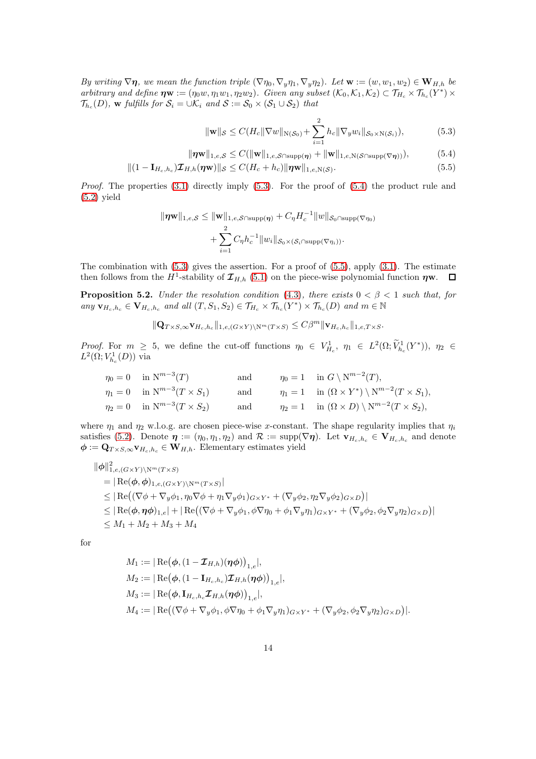By writing  $\nabla \eta$ , we mean the function triple  $(\nabla \eta_0, \nabla_y \eta_1, \nabla_y \eta_2)$ . Let  $\mathbf{w} := (w, w_1, w_2) \in \mathbf{W}_{H,h}$  be arbitrary and define  $\boldsymbol{\eta} \mathbf{w} := (\eta_0 w, \eta_1 w_1, \eta_2 w_2)$ . Given any subset  $(\mathcal{K}_0, \mathcal{K}_1, \mathcal{K}_2) \subset \mathcal{T}_{H_c} \times \mathcal{T}_{h_c}(Y^*) \times$  $\mathcal{T}_{h_c}(D)$ , w fulfills for  $\mathcal{S}_i = \cup \mathcal{K}_i$  and  $\mathcal{S} := \mathcal{S}_0 \times (\mathcal{S}_1 \cup \mathcal{S}_2)$  that

<span id="page-13-2"></span><span id="page-13-1"></span><span id="page-13-0"></span>
$$
\|\mathbf{w}\|_{\mathcal{S}} \le C(H_c \|\nabla w\|_{N(\mathcal{S}_0)} + \sum_{i=1}^2 h_c \|\nabla_y w_i\|_{\mathcal{S}_0 \times N(\mathcal{S}_i)}),
$$
(5.3)

$$
\|\boldsymbol{\eta}\mathbf{w}\|_{1,e,\mathcal{S}} \leq C(\|\mathbf{w}\|_{1,e,\mathcal{S}\cap\text{supp}(\boldsymbol{\eta})} + \|\mathbf{w}\|_{1,e,N(\mathcal{S}\cap\text{supp}(\nabla\boldsymbol{\eta}))}),
$$
(5.4)

$$
||(1 - \mathbf{I}_{H_c,h_c})\mathcal{I}_{H,h}(\boldsymbol{\eta}\mathbf{w})||_{\mathcal{S}} \leq C(H_c + h_c)||\boldsymbol{\eta}\mathbf{w}||_{1,e,N(\mathcal{S})}.
$$
\n(5.5)

*Proof.* The properties  $(3.1)$  directly imply  $(5.3)$ . For the proof of  $(5.4)$  the product rule and  $(5.2)$  yield

$$
\|\eta \mathbf{w}\|_{1,e,\mathcal{S}} \leq \|\mathbf{w}\|_{1,e,\mathcal{S}\cap \text{supp}(\boldsymbol{\eta})} + C_{\eta} H_c^{-1} \|w\|_{\mathcal{S}_0 \cap \text{supp}(\nabla \eta_0)} + \sum_{i=1}^2 C_{\eta} h_c^{-1} \|w_i\|_{\mathcal{S}_0 \times (\mathcal{S}_i \cap \text{supp}(\nabla \eta_i))}.
$$

The combination with  $(5.3)$  gives the assertion. For a proof of  $(5.5)$ , apply  $(3.1)$ . The estimate then follows from the  $H^1$ -stability of  $\mathcal{I}_{H,h}$  [\(5.1\)](#page-12-2) on the piece-wise polynomial function  $\eta$ w.

<span id="page-13-3"></span>**Proposition 5.2.** Under the resolution condition [\(4.3\)](#page-8-1), there exists  $0 < \beta < 1$  such that, for any  $\mathbf{v}_{H_c,h_c} \in \mathbf{V}_{H_c,h_c}$  and all  $(T, S_1, S_2) \in \mathcal{T}_{H_c} \times \mathcal{T}_{h_c}(Y^*) \times \mathcal{T}_{h_c}(D)$  and  $m \in \mathbb{N}$ 

$$
\|\mathbf{Q}_{T\times S,\infty}\mathbf{v}_{H_c,h_c}\|_{1,e,(G\times Y)\backslash \mathcal{N}^m(T\times S)} \leq C\beta^m \|\mathbf{v}_{H_c,h_c}\|_{1,e,T\times S}.
$$

Proof. For  $m \geq 5$ , we define the cut-off functions  $\eta_0 \in V^1_{H_c}$ ,  $\eta_1 \in L^2(\Omega; \widetilde{V}^1_{h_c}(Y^*))$ ,  $\eta_2 \in$  $L^2(\Omega;V_{h_c}^1(D))$  via

$$
\eta_0 = 0 \quad \text{in } \mathbb{N}^{m-3}(T) \qquad \text{and} \qquad \eta_0 = 1 \quad \text{in } G \setminus \mathbb{N}^{m-2}(T),
$$
  
\n
$$
\eta_1 = 0 \quad \text{in } \mathbb{N}^{m-3}(T \times S_1) \qquad \text{and} \qquad \eta_1 = 1 \quad \text{in } (\Omega \times Y^*) \setminus \mathbb{N}^{m-2}(T \times S_1),
$$
  
\n
$$
\eta_2 = 0 \quad \text{in } \mathbb{N}^{m-3}(T \times S_2) \qquad \text{and} \qquad \eta_2 = 1 \quad \text{in } (\Omega \times D) \setminus \mathbb{N}^{m-2}(T \times S_2),
$$

where  $\eta_1$  and  $\eta_2$  w.l.o.g. are chosen piece-wise x-constant. The shape regularity implies that  $\eta_i$ satisfies [\(5.2\)](#page-12-1). Denote  $\eta := (\eta_0, \eta_1, \eta_2)$  and  $\mathcal{R} := \text{supp}(\nabla \eta)$ . Let  $\mathbf{v}_{H_c,h_c} \in \mathbf{V}_{H_c,h_c}$  and denote  $\phi := \mathbf{Q}_{T \times S, \infty} \mathbf{v}_{H_c, h_c} \in \mathbf{W}_{H, h}$ . Elementary estimates yield

$$
\|\phi\|_{1,e,(G\times Y)\backslash N^m(T\times S)}^2
$$
\n= | Re( $\phi$ ,  $\phi$ )<sub>1,e,(G\times Y)\backslash N^m(T\times S)}</sub>  
\n
$$
\leq | Re((\nabla \phi + \nabla_y \phi_1, \eta_0 \nabla \phi + \eta_1 \nabla_y \phi_1)_{G\times Y^*} + (\nabla_y \phi_2, \eta_2 \nabla_y \phi_2)_{G\times D})|
$$
\n
$$
\leq | Re(\phi, \eta \phi)_{1,e} | + | Re((\nabla \phi + \nabla_y \phi_1, \phi \nabla \eta_0 + \phi_1 \nabla_y \eta_1)_{G\times Y^*} + (\nabla_y \phi_2, \phi_2 \nabla_y \eta_2)_{G\times D})|
$$
\n
$$
\leq M_1 + M_2 + M_3 + M_4
$$

for

$$
M_1 := |\operatorname{Re}(\phi, (1 - \mathcal{I}_{H,h})(\eta \phi))_{1,e}|,
$$
  
\n
$$
M_2 := |\operatorname{Re}(\phi, (1 - \mathbf{I}_{H_c,h_c})\mathcal{I}_{H,h}(\eta \phi))_{1,e}|,
$$
  
\n
$$
M_3 := |\operatorname{Re}(\phi, \mathbf{I}_{H_c,h_c}\mathcal{I}_{H,h}(\eta \phi))_{1,e}|,
$$
  
\n
$$
M_4 := |\operatorname{Re}((\nabla \phi + \nabla_y \phi_1, \phi \nabla \eta_0 + \phi_1 \nabla_y \eta_1)_{G \times Y^*} + (\nabla_y \phi_2, \phi_2 \nabla_y \eta_2)_{G \times D})|.
$$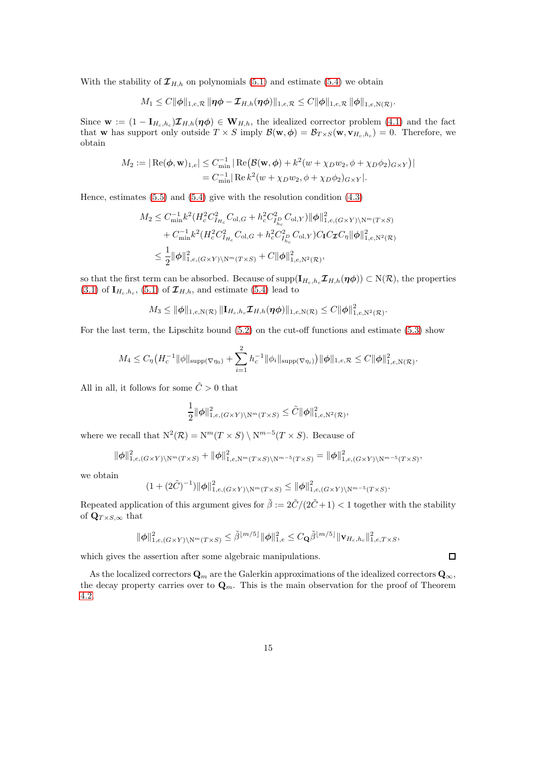With the stability of  $\mathcal{I}_{H,h}$  on polynomials [\(5.1\)](#page-12-2) and estimate [\(5.4\)](#page-13-1) we obtain

$$
M_1 \leq C ||\phi||_{1,e,\mathcal{R}} ||\eta \phi - \mathcal{I}_{H,h}(\eta \phi)||_{1,e,\mathcal{R}} \leq C ||\phi||_{1,e,\mathcal{R}} ||\phi||_{1,e,N(\mathcal{R})}.
$$

Since  $\mathbf{w} := (1 - \mathbf{I}_{H_c,h_c})\mathcal{I}_{H,h}(\eta\phi) \in \mathbf{W}_{H,h}$ , the idealized corrector problem [\(4.1\)](#page-8-3) and the fact that **w** has support only outside  $T \times S$  imply  $\mathcal{B}(\mathbf{w}, \boldsymbol{\phi}) = \mathcal{B}_{T \times S}(\mathbf{w}, \mathbf{v}_{H_c, h_c}) = 0$ . Therefore, we obtain

$$
M_2 := |\operatorname{Re}(\phi, \mathbf{w})_{1,e}| \leq C_{\min}^{-1} |\operatorname{Re}(\mathcal{B}(\mathbf{w}, \phi) + k^2(w + \chi_D w_2, \phi + \chi_D \phi_2)G \times Y)|
$$
  
=  $C_{\min}^{-1} |\operatorname{Re} k^2(w + \chi_D w_2, \phi + \chi_D \phi_2)G \times Y|$ .

Hence, estimates  $(5.5)$  and  $(5.4)$  give with the resolution condition  $(4.3)$ 

$$
M_2 \leq C_{\min}^{-1} k^2 (H_c^2 C_{H_c}^2 C_{\text{ol},G} + h_c^2 C_{I_{R_c}^2}^2 C_{\text{ol},Y}) ||\phi||_{1,e,(G\times Y)\backslash N^m(T\times S)}^2 + C_{\min}^{-1} k^2 (H_c^2 C_{I_{R_c}}^2 C_{\text{ol},G} + h_c^2 C_{I_{R_c}^2}^2 C_{\text{ol},Y}) C_{\text{I}} C_{\mathcal{I}} C_{\eta} ||\phi||_{1,e,N^2(\mathcal{R})}^2
$$
  

$$
\leq \frac{1}{2} ||\phi||_{1,e,(G\times Y)\backslash N^m(T\times S)}^2 + C ||\phi||_{1,e,N^2(\mathcal{R})}^2,
$$

so that the first term can be absorbed. Because of  $\text{supp}(\mathbf{I}_{H_c,h_c}\mathcal{I}_{H,h}(\boldsymbol{\eta}\phi)) \subset N(\mathcal{R})$ , the properties  $(3.1)$  of  $\mathbf{I}_{H_c,h_c}$ ,  $(5.1)$  of  $\mathcal{I}_{H,h}$ , and estimate  $(5.4)$  lead to

$$
M_3\leq \|\boldsymbol{\phi}\|_{1,e,\mathrm{N}(\mathcal{R})}\|\mathbf{I}_{H_c,h_c}\boldsymbol{\mathcal{I}}_{H,h}(\boldsymbol{\eta}\boldsymbol{\phi})\|_{1,e,\mathrm{N}(\mathcal{R})}\leq C\|\boldsymbol{\phi}\|_{1,e,\mathrm{N}^2(\mathcal{R})}^2.
$$

For the last term, the Lipschitz bound [\(5.2\)](#page-12-1) on the cut-off functions and estimate [\(5.3\)](#page-13-0) show

$$
M_4 \leq C_{\eta} \left( H_c^{-1} \|\phi\|_{\text{supp}(\nabla \eta_0)} + \sum_{i=1}^2 h_c^{-1} \|\phi_i\|_{\text{supp}(\nabla \eta_i)} \right) \|\phi\|_{1,e,\mathcal{R}} \leq C \|\phi\|_{1,e,\mathrm{N}(\mathcal{R})}^2.
$$

All in all, it follows for some  $\tilde{C} > 0$  that

$$
\frac{1}{2} \|\phi\|_{1,e,(G\times Y)\backslash \mathcal{N}^m(T\times S)}^2 \leq \tilde{C} \|\phi\|_{1,e,\mathcal{N}^2(\mathcal{R})}^2,
$$

where we recall that  $N^2(\mathcal{R}) = N^m(T \times S) \setminus N^{m-5}(T \times S)$ . Because of

$$
\|\phi\|_{1,e,(G\times Y)\backslash \mathcal{N}^m(T\times S)}^2 + \|\phi\|_{1,e,\mathcal{N}^m(T\times S)\backslash \mathcal{N}^{m-5}(T\times S)}^2 = \|\phi\|_{1,e,(G\times Y)\backslash \mathcal{N}^{m-5}(T\times S)}^2,
$$

we obtain

$$
(1+(2\tilde{C})^{-1})\|\phi\|_{1,e,(G\times Y)\backslash N^m(T\times S)}^2 \le \|\phi\|_{1,e,(G\times Y)\backslash N^{m-5}(T\times S)}^2.
$$

Repeated application of this argument gives for  $\tilde{\beta} := 2\tilde{C}/(2\tilde{C}+1) < 1$  together with the stability of  $\mathbf{Q}_{T\times S,\infty}$  that

$$
\|\phi\|_{1,e,(G\times Y)\backslash \mathrm{N}^m(T\times S)}^2 \leq \tilde{\beta}^{\lfloor m/5 \rfloor} \|\phi\|_{1,e}^2 \leq C_{\mathbf{Q}}\tilde{\beta}^{\lfloor m/5 \rfloor} \|\mathbf{v}_{H_c,h_c}\|_{1,e,T\times S}^2,
$$

 $\Box$ 

which gives the assertion after some algebraic manipulations.

As the localized correctors  $\mathbf{Q}_m$  are the Galerkin approximations of the idealized correctors  $\mathbf{Q}_\infty$ , the decay property carries over to  $\mathbf{Q}_m$ . This is the main observation for the proof of Theorem [4.2.](#page-9-1)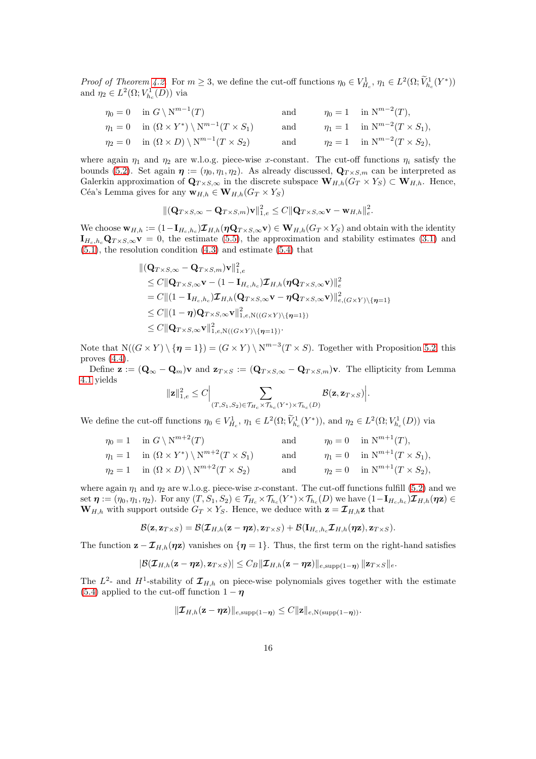Proof of Theorem [4.2.](#page-9-1) For  $m \geq 3$ , we define the cut-off functions  $\eta_0 \in V^1_{H_c}$ ,  $\eta_1 \in L^2(\Omega; \widetilde{V}^1_{h_c}(Y^*))$ and  $\eta_2 \in L^2(\Omega;V_{h_c}^1(D))$  via

$$
\eta_0 = 0 \quad \text{in } G \setminus N^{m-1}(T) \qquad \text{and} \qquad \eta_0 = 1 \quad \text{in } N^{m-2}(T),
$$
  
\n
$$
\eta_1 = 0 \quad \text{in } (\Omega \times Y^*) \setminus N^{m-1}(T \times S_1) \qquad \text{and} \qquad \eta_1 = 1 \quad \text{in } N^{m-2}(T \times S_1),
$$
  
\n
$$
\eta_2 = 0 \quad \text{in } (\Omega \times D) \setminus N^{m-1}(T \times S_2) \qquad \text{and} \qquad \eta_2 = 1 \quad \text{in } N^{m-2}(T \times S_2),
$$

where again  $\eta_1$  and  $\eta_2$  are w.l.o.g. piece-wise x-constant. The cut-off functions  $\eta_i$  satisfy the bounds [\(5.2\)](#page-12-1). Set again  $\eta := (\eta_0, \eta_1, \eta_2)$ . As already discussed,  $\mathbf{Q}_{T \times S,m}$  can be interpreted as Galerkin approximation of  $\mathbf{Q}_{T\times S,\infty}$  in the discrete subspace  $\mathbf{W}_{H,h}(G_T\times Y_S) \subset \mathbf{W}_{H,h}$ . Hence, Céa's Lemma gives for any  $\mathbf{w}_{H,h} \in \mathbf{W}_{H,h}(G_T \times Y_S)$ 

$$
\|(\mathbf{Q}_{T\times S,\infty}-\mathbf{Q}_{T\times S,m})\mathbf{v}\|_{1,e}^2\leq C\|\mathbf{Q}_{T\times S,\infty}\mathbf{v}-\mathbf{w}_{H,h}\|_{e}^2.
$$

We choose  $\mathbf{w}_{H,h} := (1 - \mathbf{I}_{H_c,h_c}) \mathcal{I}_{H,h}(\eta \mathbf{Q}_{T \times S,\infty} \mathbf{v}) \in \mathbf{W}_{H,h}(G_T \times Y_S)$  and obtain with the identity  $I_{H_c,h_c}\mathbf{Q}_{T\times S,\infty}\mathbf{v}=0$ , the estimate [\(5.5\)](#page-13-2), the approximation and stability estimates [\(3.1\)](#page-5-0) and [\(5.1\)](#page-12-2), the resolution condition [\(4.3\)](#page-8-1) and estimate [\(5.4\)](#page-13-1) that

$$
\begin{aligned}\n&\|(\mathbf{Q}_{T\times S,\infty}-\mathbf{Q}_{T\times S,m})\mathbf{v}\|_{1,e}^{2} \\
&\leq C\|\mathbf{Q}_{T\times S,\infty}\mathbf{v}-(1-\mathbf{I}_{H_c,h_c})\boldsymbol{\mathcal{I}}_{H,h}(\boldsymbol{\eta}\mathbf{Q}_{T\times S,\infty}\mathbf{v})\|_{e}^{2} \\
&=C\|(1-\mathbf{I}_{H_c,h_c})\boldsymbol{\mathcal{I}}_{H,h}(\mathbf{Q}_{T\times S,\infty}\mathbf{v}-\boldsymbol{\eta}\mathbf{Q}_{T\times S,\infty}\mathbf{v})\|_{e,(G\times Y)\setminus\{\boldsymbol{\eta}=1\}}^{2} \\
&\leq C\|(1-\boldsymbol{\eta})\mathbf{Q}_{T\times S,\infty}\mathbf{v}\|_{1,e,N((G\times Y)\setminus\{\boldsymbol{\eta}=1\})}^{2} \\
&\leq C\|\mathbf{Q}_{T\times S,\infty}\mathbf{v}\|_{1,e,N((G\times Y)\setminus\{\boldsymbol{\eta}=1\})}^{2}.\n\end{aligned}
$$

Note that  $N((G \times Y) \setminus {\eta = 1}) = (G \times Y) \setminus N^{m-3}(T \times S)$ . Together with Proposition [5.2,](#page-13-3) this proves [\(4.4\)](#page-9-4).

Define  $\mathbf{z} := (\mathbf{Q}_{\infty} - \mathbf{Q}_m)\mathbf{v}$  and  $\mathbf{z}_{T \times S} := (\mathbf{Q}_{T \times S, \infty} - \mathbf{Q}_{T \times S,m})\mathbf{v}$ . The ellipticity from Lemma [4.1](#page-8-2) yields

$$
\|\mathbf{z}\|_{1,e}^2 \leq C \Big| \sum_{(T,S_1,S_2) \in \mathcal{T}_{H_c} \times \mathcal{T}_{h_c}(Y^*) \times \mathcal{T}_{h_c}(D)} \mathcal{B}(\mathbf{z}, \mathbf{z}_{T \times S}) \Big|.
$$

We define the cut-off functions  $\eta_0 \in V_{H_c}^1$ ,  $\eta_1 \in L^2(\Omega; \tilde{V}_{h_c}^1(Y^*))$ , and  $\eta_2 \in L^2(\Omega; V_{h_c}^1(D))$  via

$$
\eta_0 = 1 \quad \text{in } G \setminus N^{m+2}(T) \qquad \text{and} \qquad \eta_0 = 0 \quad \text{in } N^{m+1}(T),
$$
  
\n
$$
\eta_1 = 1 \quad \text{in } (\Omega \times Y^*) \setminus N^{m+2}(T \times S_1) \qquad \text{and} \qquad \eta_1 = 0 \quad \text{in } N^{m+1}(T \times S_1),
$$
  
\n
$$
\eta_2 = 1 \quad \text{in } (\Omega \times D) \setminus N^{m+2}(T \times S_2) \qquad \text{and} \qquad \eta_2 = 0 \quad \text{in } N^{m+1}(T \times S_2),
$$

where again  $\eta_1$  and  $\eta_2$  are w.l.o.g. piece-wise x-constant. The cut-off functions fulfill [\(5.2\)](#page-12-1) and we set  $\boldsymbol{\eta} := (\eta_0, \eta_1, \eta_2)$ . For any  $(T, S_1, S_2) \in \mathcal{T}_{H_c} \times \mathcal{T}_{h_c}(Y^*) \times \mathcal{T}_{h_c}(D)$  we have  $(1 - \mathbf{I}_{H_c, h_c}) \mathcal{I}_{H, h}(\boldsymbol{\eta} \mathbf{z}) \in$  $W_{H,h}$  with support outside  $G_T \times Y_S$ . Hence, we deduce with  $\mathbf{z} = \mathcal{I}_{H,h}\mathbf{z}$  that

$$
\mathcal{B}(\mathbf{z}, \mathbf{z}_{T \times S}) = \mathcal{B}(\boldsymbol{\mathcal{I}}_{H,h}(\mathbf{z} - \eta \mathbf{z}), \mathbf{z}_{T \times S}) + \mathcal{B}(\mathbf{I}_{H_c,h_c} \boldsymbol{\mathcal{I}}_{H,h}(\eta \mathbf{z}), \mathbf{z}_{T \times S}).
$$

The function  $\mathbf{z} - \mathcal{I}_{H,h}(\eta \mathbf{z})$  vanishes on  $\{\eta = 1\}$ . Thus, the first term on the right-hand satisfies

$$
|\mathcal{B}(\boldsymbol{\mathcal{I}}_{H,h}(\mathbf{z}-\boldsymbol{\eta}\mathbf{z}),\mathbf{z}_{T\times S})|\leq C_{B}\|\boldsymbol{\mathcal{I}}_{H,h}(\mathbf{z}-\boldsymbol{\eta}\mathbf{z})\|_{e,\mathrm{supp}(1-\boldsymbol{\eta})}\|\mathbf{z}_{T\times S}\|_{e}.
$$

The  $L^2$ - and  $H^1$ -stability of  $\mathcal{I}_{H,h}$  on piece-wise polynomials gives together with the estimate [\(5.4\)](#page-13-1) applied to the cut-off function  $1 - \eta$ 

$$
\|\boldsymbol{\mathcal{I}}_{H,h}(\mathbf{z}-\boldsymbol{\eta}\mathbf{z})\|_{e,\text{supp}(1-\boldsymbol{\eta})}\leq C\|\mathbf{z}\|_{e,N(\text{supp}(1-\boldsymbol{\eta}))}.
$$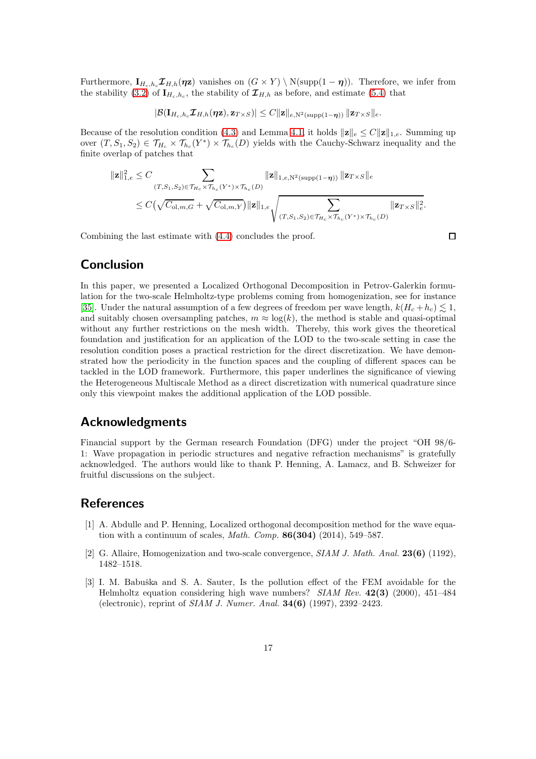Furthermore,  $\mathbf{I}_{H_c,h_c} \mathcal{I}_{H,h}(\eta z)$  vanishes on  $(G \times Y) \setminus N(\text{supp}(1 - \eta))$ . Therefore, we infer from the stability [\(3.2\)](#page-5-1) of  $I_{H_c,h_c}$ , the stability of  $\mathcal{I}_{H,h}$  as before, and estimate [\(5.4\)](#page-13-1) that

$$
|\mathcal{B}(\mathbf{I}_{H_c,h_c}\mathcal{I}_{H,h}(\boldsymbol{\eta}\mathbf{z}),\mathbf{z}_{T\times S})|\leq C\|\mathbf{z}\|_{e,\mathrm{N}^2(\mathrm{supp}(1-\boldsymbol{\eta}))}\|\mathbf{z}_{T\times S}\|_{e}.
$$

Because of the resolution condition [\(4.3\)](#page-8-1) and Lemma [4.1,](#page-8-2) it holds  $\|\mathbf{z}\|_e \leq C \|\mathbf{z}\|_{1,e}$ . Summing up over  $(T, S_1, S_2) \in \mathcal{T}_{H_c} \times \mathcal{T}_{h_c}(Y^*) \times \mathcal{T}_{h_c}(D)$  yields with the Cauchy-Schwarz inequality and the finite overlap of patches that

$$
\begin{aligned} \|\mathbf{z}\|_{1,e}^2 &\leq C \sum_{(T,S_1,S_2)\in\mathcal{T}_{H_c}\times\mathcal{T}_{h_c}(Y^*)\times\mathcal{T}_{h_c}(D)} \|\mathbf{z}\|_{1,e,\mathrm{N}^2(\mathrm{supp}(1-\eta))} \|\mathbf{z}_{T\times S}\|_e \\ &\leq C \big(\sqrt{C_{\mathrm{ol},m,G}} + \sqrt{C_{\mathrm{ol},m,Y}}\big) \|\mathbf{z}\|_{1,e} \sqrt{\sum_{(T,S_1,S_2)\in\mathcal{T}_{H_c}\times\mathcal{T}_{h_c}(Y^*)\times\mathcal{T}_{h_c}(D)}} \|\mathbf{z}_{T\times S}\|_e^2. \end{aligned}
$$

Combining the last estimate with [\(4.4\)](#page-9-4) concludes the proof.

 $\Box$ 

## Conclusion

In this paper, we presented a Localized Orthogonal Decomposition in Petrov-Galerkin formulation for the two-scale Helmholtz-type problems coming from homogenization, see for instance [\[35\]](#page-18-3). Under the natural assumption of a few degrees of freedom per wave length,  $k(H_c + h_c) \lesssim 1$ , and suitably chosen oversampling patches,  $m \approx \log(k)$ , the method is stable and quasi-optimal without any further restrictions on the mesh width. Thereby, this work gives the theoretical foundation and justification for an application of the LOD to the two-scale setting in case the resolution condition poses a practical restriction for the direct discretization. We have demonstrated how the periodicity in the function spaces and the coupling of different spaces can be tackled in the LOD framework. Furthermore, this paper underlines the significance of viewing the Heterogeneous Multiscale Method as a direct discretization with numerical quadrature since only this viewpoint makes the additional application of the LOD possible.

## Acknowledgments

Financial support by the German research Foundation (DFG) under the project "OH 98/6- 1: Wave propagation in periodic structures and negative refraction mechanisms" is gratefully acknowledged. The authors would like to thank P. Henning, A. Lamacz, and B. Schweizer for fruitful discussions on the subject.

## <span id="page-16-1"></span>**References**

- [1] A. Abdulle and P. Henning, Localized orthogonal decomposition method for the wave equation with a continuum of scales, *Math. Comp.* **86(304)** (2014), 549–587.
- <span id="page-16-2"></span><span id="page-16-0"></span>[2] G. Allaire, Homogenization and two-scale convergence, SIAM J. Math. Anal. 23(6) (1192), 1482–1518.
- [3] I. M. Babuška and S. A. Sauter, Is the pollution effect of the FEM avoidable for the Helmholtz equation considering high wave numbers? SIAM Rev. 42(3) (2000), 451–484 (electronic), reprint of SIAM J. Numer. Anal. 34(6) (1997), 2392–2423.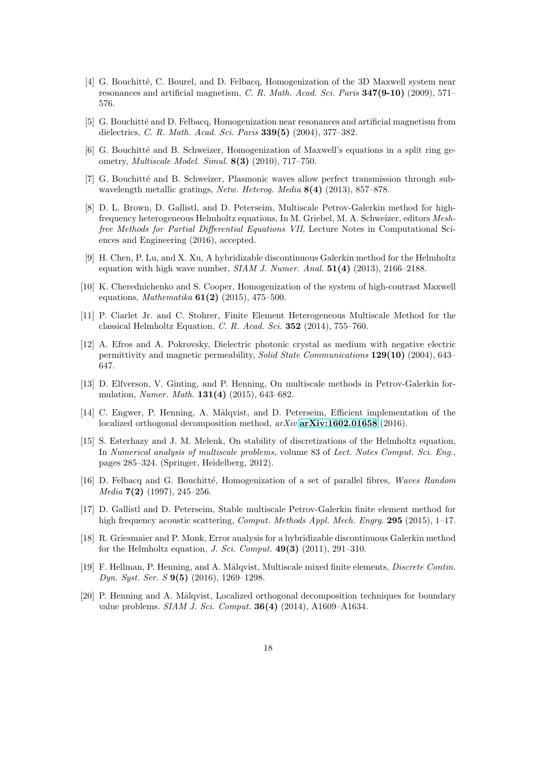- <span id="page-17-1"></span>[4] G. Bouchitté, C. Bourel, and D. Felbacq, Homogenization of the 3D Maxwell system near resonances and artificial magnetism, C. R. Math. Acad. Sci. Paris  $347(9-10)$  (2009), 571– 576.
- <span id="page-17-3"></span><span id="page-17-2"></span>[5] G. Bouchitté and D. Felbacq, Homogenization near resonances and artificial magnetism from dielectrics, C. R. Math. Acad. Sci. Paris 339(5) (2004), 377–382.
- <span id="page-17-4"></span>[6] G. Bouchitt´e and B. Schweizer, Homogenization of Maxwell's equations in a split ring geometry, Multiscale Model. Simul. 8(3) (2010), 717–750.
- [7] G. Bouchitt´e and B. Schweizer, Plasmonic waves allow perfect transmission through subwavelength metallic gratings, Netw. Heterog. Media 8(4) (2013), 857–878.
- <span id="page-17-10"></span>[8] D. L. Brown, D. Gallistl, and D. Peterseim, Multiscale Petrov-Galerkin method for highfrequency heterogeneous Helmholtz equations, In M. Griebel, M. A. Schweizer, editors Meshfree Methods for Partial Differential Equations VII, Lecture Notes in Computational Sciences and Engineering (2016), accepted.
- <span id="page-17-8"></span>[9] H. Chen, P. Lu, and X. Xu, A hybridizable discontinuous Galerkin method for the Helmholtz equation with high wave number,  $SIAM J. Numer. Anal. 51(4)$  (2013), 2166–2188.
- <span id="page-17-5"></span>[10] K. Cherednichenko and S. Cooper, Homogenization of the system of high-contrast Maxwell equations, *Mathematika* **61(2)** (2015), 475–500.
- <span id="page-17-16"></span>[11] P. Ciarlet Jr. and C. Stohrer, Finite Element Heterogeneous Multiscale Method for the classical Helmholtz Equation, C. R. Acad. Sci. 352 (2014), 755–760.
- <span id="page-17-0"></span>[12] A. Efros and A. Pokrovsky, Dielectric photonic crystal as medium with negative electric permittivity and magnetic permeability, Solid State Communications 129(10) (2004), 643– 647.
- <span id="page-17-14"></span>[13] D. Elfverson, V. Ginting, and P. Henning, On multiscale methods in Petrov-Galerkin formulation, Numer. Math. 131(4) (2015), 643–682.
- <span id="page-17-15"></span>[14] C. Engwer, P. Henning, A. Målqvist, and D. Peterseim, Efficient implementation of the localized orthogonal decomposition method,  $arXiv$  [arXiv:1602.01658](http://arxiv.org/abs/1602.01658) (2016).
- <span id="page-17-7"></span>[15] S. Esterhazy and J. M. Melenk, On stability of discretizations of the Helmholtz equation, In Numerical analysis of multiscale problems, volume 83 of Lect. Notes Comput. Sci. Eng., pages 285–324. (Springer, Heidelberg, 2012).
- <span id="page-17-6"></span>[16] D. Felbacq and G. Bouchitté, Homogenization of a set of parallel fibres, Waves Random *Media*  $7(2)$  (1997), 245–256.
- <span id="page-17-11"></span>[17] D. Gallistl and D. Peterseim, Stable multiscale Petrov-Galerkin finite element method for high frequency acoustic scattering, *Comput. Methods Appl. Mech. Engrg.* 295 (2015), 1–17.
- <span id="page-17-9"></span>[18] R. Griesmaier and P. Monk, Error analysis for a hybridizable discontinuous Galerkin method for the Helmholtz equation, *J. Sci. Comput.* **49(3)** (2011), 291–310.
- <span id="page-17-13"></span>[19] F. Hellman, P. Henning, and A. Målqvist, Multiscale mixed finite elements, *Discrete Contin.* Dyn. Syst. Ser. S 9(5) (2016), 1269–1298.
- <span id="page-17-12"></span>[20] P. Henning and A. Målqvist, Localized orthogonal decomposition techniques for boundary value problems. SIAM J. Sci. Comput. 36(4) (2014), A1609–A1634.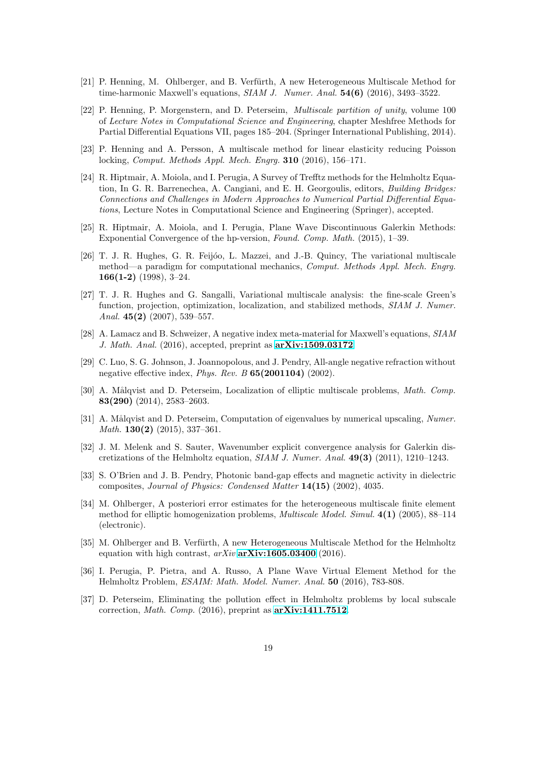- <span id="page-18-16"></span>[21] P. Henning, M. Ohlberger, and B. Verfürth, A new Heterogeneous Multiscale Method for time-harmonic Maxwell's equations,  $SIAM J.$  Numer. Anal.  $54(6)$  (2016), 3493-3522.
- <span id="page-18-14"></span>[22] P. Henning, P. Morgenstern, and D. Peterseim, Multiscale partition of unity, volume 100 of Lecture Notes in Computational Science and Engineering, chapter Meshfree Methods for Partial Differential Equations VII, pages 185–204. (Springer International Publishing, 2014).
- <span id="page-18-13"></span>[23] P. Henning and A. Persson, A multiscale method for linear elasticity reducing Poisson locking, Comput. Methods Appl. Mech. Engrg. 310 (2016), 156–171.
- <span id="page-18-5"></span>[24] R. Hiptmair, A. Moiola, and I. Perugia, A Survey of Trefftz methods for the Helmholtz Equation, In G. R. Barrenechea, A. Cangiani, and E. H. Georgoulis, editors, Building Bridges: Connections and Challenges in Modern Approaches to Numerical Partial Differential Equations, Lecture Notes in Computational Science and Engineering (Springer), accepted.
- <span id="page-18-6"></span>[25] R. Hiptmair, A. Moiola, and I. Perugia, Plane Wave Discontinuous Galerkin Methods: Exponential Convergence of the hp-version, Found. Comp. Math. (2015), 1–39.
- <span id="page-18-10"></span>[26] T. J. R. Hughes, G. R. Feijóo, L. Mazzei, and J.-B. Quincy, The variational multiscale method—a paradigm for computational mechanics, Comput. Methods Appl. Mech. Engrg. 166(1-2) (1998), 3-24.
- <span id="page-18-11"></span>[27] T. J. R. Hughes and G. Sangalli, Variational multiscale analysis: the fine-scale Green's function, projection, optimization, localization, and stabilized methods, SIAM J. Numer. Anal.  $45(2)$  (2007), 539-557.
- <span id="page-18-2"></span>[28] A. Lamacz and B. Schweizer, A negative index meta-material for Maxwell's equations, SIAM J. Math. Anal. (2016), accepted, preprint as [arXiv:1509.03172](http://arxiv.org/abs/1509.03172).
- <span id="page-18-0"></span>[29] C. Luo, S. G. Johnson, J. Joannopolous, and J. Pendry, All-angle negative refraction without negative effective index, Phys. Rev. B 65(2001104) (2002).
- <span id="page-18-9"></span>[30] A. Målqvist and D. Peterseim, Localization of elliptic multiscale problems, *Math. Comp.* 83(290) (2014), 2583–2603.
- <span id="page-18-12"></span>[31] A. Målqvist and D. Peterseim, Computation of eigenvalues by numerical upscaling, Numer. Math. 130(2) (2015), 337–361.
- <span id="page-18-4"></span>[32] J. M. Melenk and S. Sauter, Wavenumber explicit convergence analysis for Galerkin discretizations of the Helmholtz equation,  $SIAM$  J. Numer. Anal.  $49(3)$  (2011), 1210–1243.
- <span id="page-18-1"></span>[33] S. O'Brien and J. B. Pendry, Photonic band-gap effects and magnetic activity in dielectric composites, Journal of Physics: Condensed Matter 14(15) (2002), 4035.
- <span id="page-18-15"></span>[34] M. Ohlberger, A posteriori error estimates for the heterogeneous multiscale finite element method for elliptic homogenization problems, Multiscale Model. Simul. 4(1) (2005), 88–114 (electronic).
- <span id="page-18-3"></span>[35] M. Ohlberger and B. Verfürth, A new Heterogeneous Multiscale Method for the Helmholtz equation with high contrast,  $arXiv$  [arXiv:1605.03400](http://arxiv.org/abs/1605.03400) (2016).
- <span id="page-18-7"></span>[36] I. Perugia, P. Pietra, and A. Russo, A Plane Wave Virtual Element Method for the Helmholtz Problem, ESAIM: Math. Model. Numer. Anal. 50 (2016), 783-808.
- <span id="page-18-8"></span>[37] D. Peterseim, Eliminating the pollution effect in Helmholtz problems by local subscale correction, Math. Comp. (2016), preprint as [arXiv:1411.7512](http://arxiv.org/abs/1411.7512).